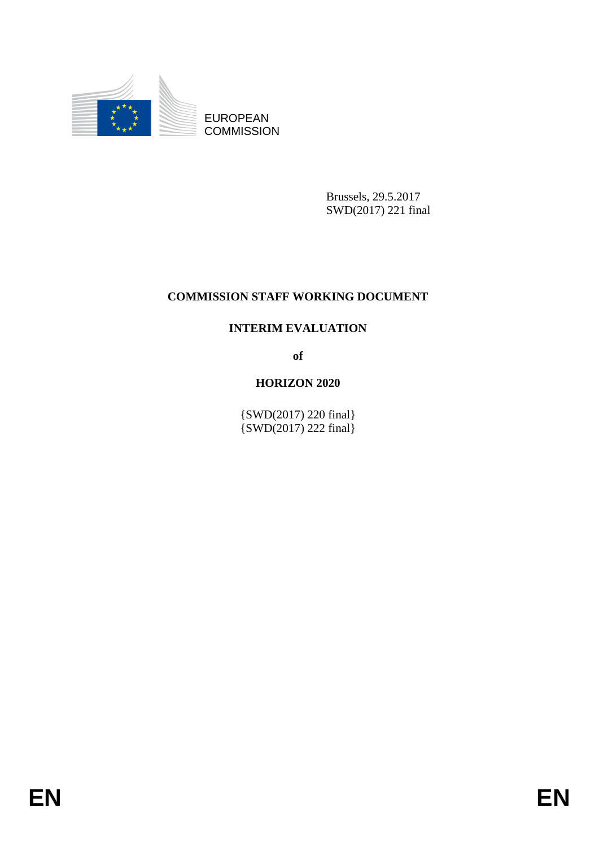

EUROPEAN **COMMISSION** 

> Brussels, 29.5.2017 SWD(2017) 221 final

# **COMMISSION STAFF WORKING DOCUMENT**

# **INTERIM EVALUATION**

**of** 

# **HORIZON 2020**

{SWD(2017) 220 final} {SWD(2017) 222 final}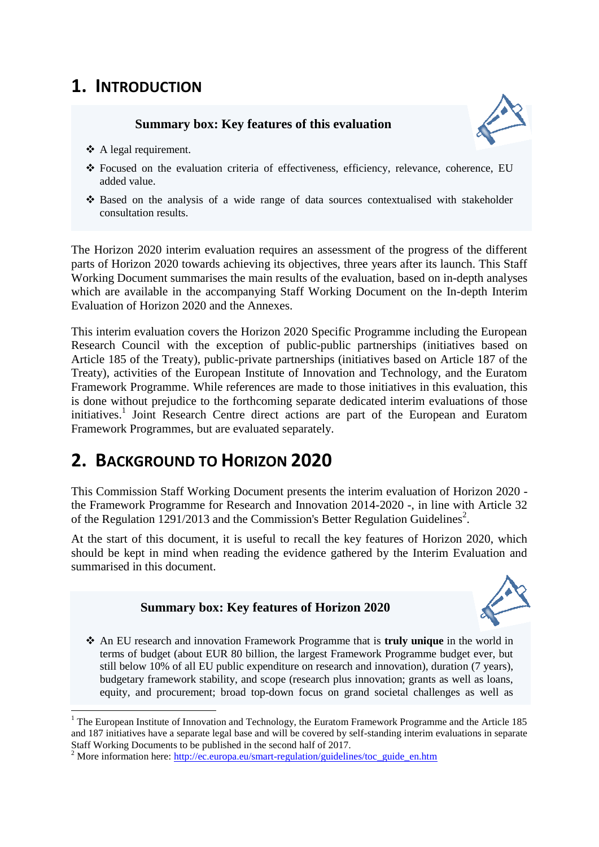# **1. INTRODUCTION**

# **Summary box: Key features of this evaluation**



- ❖ A legal requirement.
- Focused on the evaluation criteria of effectiveness, efficiency, relevance, coherence, EU added value.
- $\cdot$  Based on the analysis of a wide range of data sources contextualised with stakeholder consultation results.

The Horizon 2020 interim evaluation requires an assessment of the progress of the different parts of Horizon 2020 towards achieving its objectives, three years after its launch. This Staff Working Document summarises the main results of the evaluation, based on in-depth analyses which are available in the accompanying Staff Working Document on the In-depth Interim Evaluation of Horizon 2020 and the Annexes.

This interim evaluation covers the Horizon 2020 Specific Programme including the European Research Council with the exception of public-public partnerships (initiatives based on Article 185 of the Treaty), public-private partnerships (initiatives based on Article 187 of the Treaty), activities of the European Institute of Innovation and Technology, and the Euratom Framework Programme. While references are made to those initiatives in this evaluation, this is done without prejudice to the forthcoming separate dedicated interim evaluations of those initiatives.<sup>1</sup> Joint Research Centre direct actions are part of the European and Euratom Framework Programmes, but are evaluated separately.

# **2. BACKGROUND TO HORIZON 2020**

This Commission Staff Working Document presents the interim evaluation of Horizon 2020 the Framework Programme for Research and Innovation 2014-2020 -, in line with Article 32 of the Regulation 1291/2013 and the Commission's Better Regulation Guidelines<sup>2</sup>.

At the start of this document, it is useful to recall the key features of Horizon 2020, which should be kept in mind when reading the evidence gathered by the Interim Evaluation and summarised in this document.

# **Summary box: Key features of Horizon 2020**



 An EU research and innovation Framework Programme that is **truly unique** in the world in terms of budget (about EUR 80 billion, the largest Framework Programme budget ever, but still below 10% of all EU public expenditure on research and innovation), duration (7 years), budgetary framework stability, and scope (research plus innovation; grants as well as loans, equity, and procurement; broad top-down focus on grand societal challenges as well as

 $\overline{\phantom{a}}$ <sup>1</sup> The European Institute of Innovation and Technology, the Euratom Framework Programme and the Article 185 and 187 initiatives have a separate legal base and will be covered by self-standing interim evaluations in separate Staff Working Documents to be published in the second half of 2017.

<sup>&</sup>lt;sup>2</sup> More information here: [http://ec.europa.eu/smart-regulation/guidelines/toc\\_guide\\_en.htm](http://ec.europa.eu/smart-regulation/guidelines/toc_guide_en.htm)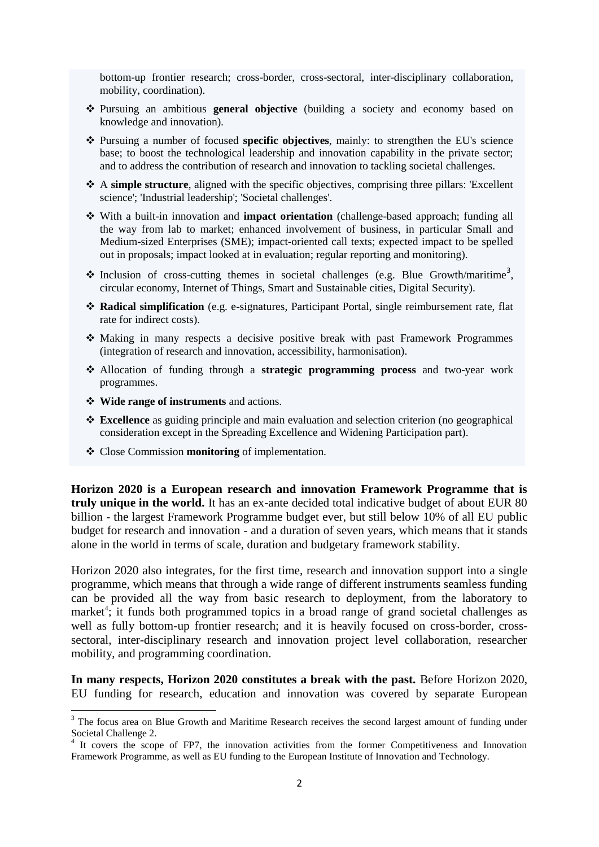bottom-up frontier research; cross-border, cross-sectoral, inter-disciplinary collaboration, mobility, coordination).

- Pursuing an ambitious **general objective** (building a society and economy based on knowledge and innovation).
- Pursuing a number of focused **specific objectives**, mainly: to strengthen the EU's science base; to boost the technological leadership and innovation capability in the private sector; and to address the contribution of research and innovation to tackling societal challenges.
- A **simple structure**, aligned with the specific objectives, comprising three pillars: 'Excellent science'; 'Industrial leadership'; 'Societal challenges'.
- With a built-in innovation and **impact orientation** (challenge-based approach; funding all the way from lab to market; enhanced involvement of business, in particular Small and Medium-sized Enterprises (SME); impact-oriented call texts; expected impact to be spelled out in proposals; impact looked at in evaluation; regular reporting and monitoring).
- $\cdot$  Inclusion of cross-cutting themes in societal challenges (e.g. Blue Growth/maritime<sup>3</sup>, circular economy, Internet of Things, Smart and Sustainable cities, Digital Security).
- **Radical simplification** (e.g. e-signatures, Participant Portal, single reimbursement rate, flat rate for indirect costs).
- Making in many respects a decisive positive break with past Framework Programmes (integration of research and innovation, accessibility, harmonisation).
- Allocation of funding through a **strategic programming process** and two-year work programmes.
- **Wide range of instruments** and actions.

**.** 

- **Excellence** as guiding principle and main evaluation and selection criterion (no geographical consideration except in the Spreading Excellence and Widening Participation part).
- Close Commission **monitoring** of implementation.

**Horizon 2020 is a European research and innovation Framework Programme that is truly unique in the world.** It has an ex-ante decided total indicative budget of about EUR 80 billion - the largest Framework Programme budget ever, but still below 10% of all EU public budget for research and innovation - and a duration of seven years, which means that it stands alone in the world in terms of scale, duration and budgetary framework stability.

Horizon 2020 also integrates, for the first time, research and innovation support into a single programme, which means that through a wide range of different instruments seamless funding can be provided all the way from basic research to deployment, from the laboratory to market<sup>4</sup>; it funds both programmed topics in a broad range of grand societal challenges as well as fully bottom-up frontier research; and it is heavily focused on cross-border, crosssectoral, inter-disciplinary research and innovation project level collaboration, researcher mobility, and programming coordination.

**In many respects, Horizon 2020 constitutes a break with the past.** Before Horizon 2020, EU funding for research, education and innovation was covered by separate European

 $3$  The focus area on Blue Growth and Maritime Research receives the second largest amount of funding under Societal Challenge 2.

<sup>&</sup>lt;sup>4</sup> It covers the scope of FP7, the innovation activities from the former Competitiveness and Innovation Framework Programme, as well as EU funding to the European Institute of Innovation and Technology.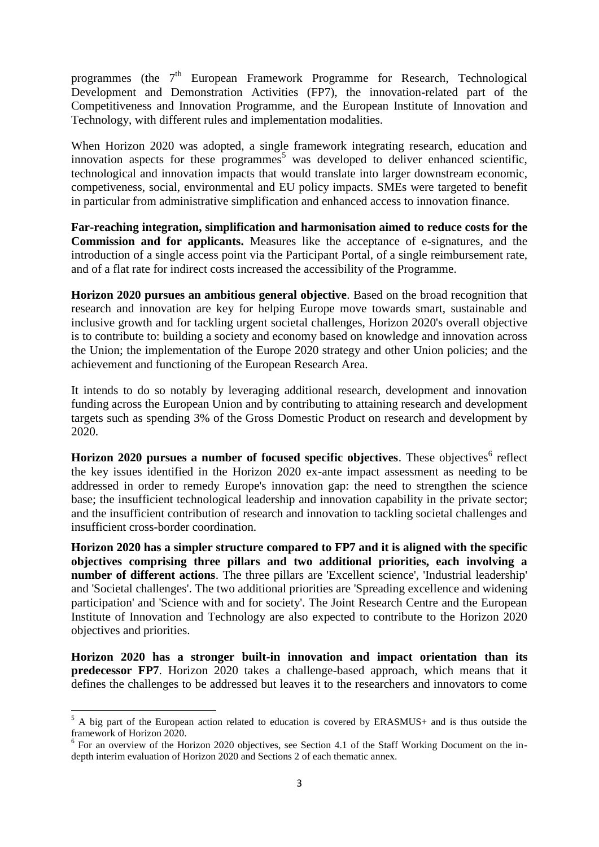programmes (the 7<sup>th</sup> European Framework Programme for Research, Technological Development and Demonstration Activities (FP7), the innovation-related part of the Competitiveness and Innovation Programme, and the European Institute of Innovation and Technology, with different rules and implementation modalities.

When Horizon 2020 was adopted, a single framework integrating research, education and innovation aspects for these programmes<sup>5</sup> was developed to deliver enhanced scientific, technological and innovation impacts that would translate into larger downstream economic, competiveness, social, environmental and EU policy impacts. SMEs were targeted to benefit in particular from administrative simplification and enhanced access to innovation finance.

**Far-reaching integration, simplification and harmonisation aimed to reduce costs for the Commission and for applicants.** Measures like the acceptance of e-signatures, and the introduction of a single access point via the Participant Portal, of a single reimbursement rate, and of a flat rate for indirect costs increased the accessibility of the Programme.

**Horizon 2020 pursues an ambitious general objective**. Based on the broad recognition that research and innovation are key for helping Europe move towards smart, sustainable and inclusive growth and for tackling urgent societal challenges, Horizon 2020's overall objective is to contribute to: building a society and economy based on knowledge and innovation across the Union; the implementation of the Europe 2020 strategy and other Union policies; and the achievement and functioning of the European Research Area.

It intends to do so notably by leveraging additional research, development and innovation funding across the European Union and by contributing to attaining research and development targets such as spending 3% of the Gross Domestic Product on research and development by 2020.

**Horizon 2020 pursues a number of focused specific objectives**. These objectives<sup>6</sup> reflect the key issues identified in the Horizon 2020 ex-ante impact assessment as needing to be addressed in order to remedy Europe's innovation gap: the need to strengthen the science base; the insufficient technological leadership and innovation capability in the private sector; and the insufficient contribution of research and innovation to tackling societal challenges and insufficient cross-border coordination.

**Horizon 2020 has a simpler structure compared to FP7 and it is aligned with the specific objectives comprising three pillars and two additional priorities, each involving a number of different actions**. The three pillars are 'Excellent science', 'Industrial leadership' and 'Societal challenges'. The two additional priorities are 'Spreading excellence and widening participation' and 'Science with and for society'. The Joint Research Centre and the European Institute of Innovation and Technology are also expected to contribute to the Horizon 2020 objectives and priorities.

**Horizon 2020 has a stronger built-in innovation and impact orientation than its predecessor FP7**. Horizon 2020 takes a challenge-based approach, which means that it defines the challenges to be addressed but leaves it to the researchers and innovators to come

**.** 

 $<sup>5</sup>$  A big part of the European action related to education is covered by ERASMUS+ and is thus outside the</sup> framework of Horizon 2020.

<sup>&</sup>lt;sup>6</sup> For an overview of the Horizon 2020 objectives, see Section 4.1 of the Staff Working Document on the indepth interim evaluation of Horizon 2020 and Sections 2 of each thematic annex.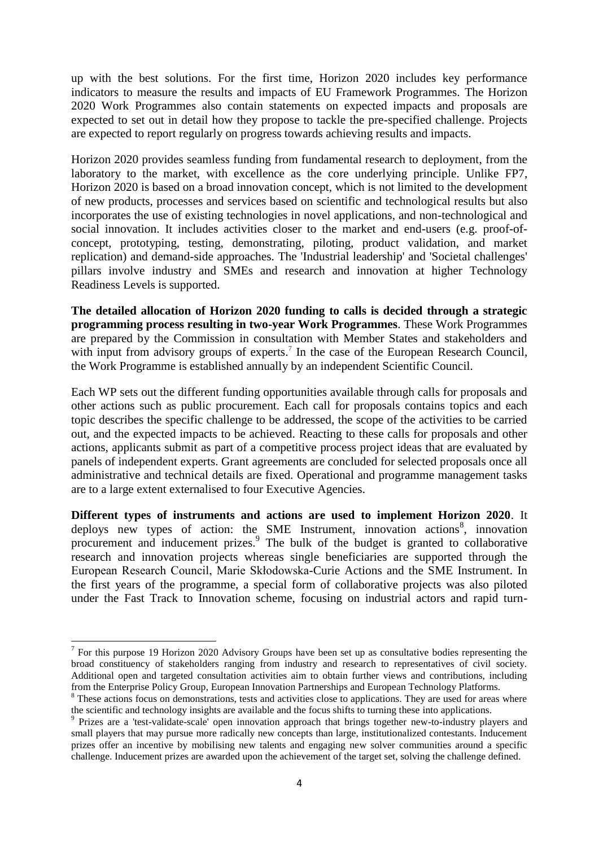up with the best solutions. For the first time, Horizon 2020 includes key performance indicators to measure the results and impacts of EU Framework Programmes. The Horizon 2020 Work Programmes also contain statements on expected impacts and proposals are expected to set out in detail how they propose to tackle the pre-specified challenge. Projects are expected to report regularly on progress towards achieving results and impacts.

Horizon 2020 provides seamless funding from fundamental research to deployment, from the laboratory to the market, with excellence as the core underlying principle. Unlike FP7, Horizon 2020 is based on a broad innovation concept, which is not limited to the development of new products, processes and services based on scientific and technological results but also incorporates the use of existing technologies in novel applications, and non-technological and social innovation. It includes activities closer to the market and end-users (e.g. proof-ofconcept, prototyping, testing, demonstrating, piloting, product validation, and market replication) and demand-side approaches. The 'Industrial leadership' and 'Societal challenges' pillars involve industry and SMEs and research and innovation at higher Technology Readiness Levels is supported.

**The detailed allocation of Horizon 2020 funding to calls is decided through a strategic programming process resulting in two-year Work Programmes**. These Work Programmes are prepared by the Commission in consultation with Member States and stakeholders and with input from advisory groups of experts.<sup>7</sup> In the case of the European Research Council, the Work Programme is established annually by an independent Scientific Council.

Each WP sets out the different funding opportunities available through calls for proposals and other actions such as public procurement. Each call for proposals contains topics and each topic describes the specific challenge to be addressed, the scope of the activities to be carried out, and the expected impacts to be achieved. Reacting to these calls for proposals and other actions, applicants submit as part of a competitive process project ideas that are evaluated by panels of independent experts. Grant agreements are concluded for selected proposals once all administrative and technical details are fixed. Operational and programme management tasks are to a large extent externalised to four Executive Agencies.

**Different types of instruments and actions are used to implement Horizon 2020**. It deploys new types of action: the SME Instrument, innovation actions $\delta$ , innovation procurement and inducement prizes.<sup>9</sup> The bulk of the budget is granted to collaborative research and innovation projects whereas single beneficiaries are supported through the European Research Council, Marie Skłodowska-Curie Actions and the SME Instrument. In the first years of the programme, a special form of collaborative projects was also piloted under the Fast Track to Innovation scheme, focusing on industrial actors and rapid turn-

**.** 

 $7$  For this purpose [19 Horizon 2020 Advisory Groups](http://ec.europa.eu/programmes/horizon2020/en/experts) have been set up as consultative bodies representing the broad constituency of stakeholders ranging from industry and research to representatives of civil society. Additional open and targeted consultation activities aim to obtain further views and contributions, including from the [Enterprise Policy Group,](http://ec.europa.eu/growth/about-us/) [European Innovation Partnerships](http://ec.europa.eu/research/innovation-union/index_en.cfm?pg=eip) and European Technology Platforms.

<sup>&</sup>lt;sup>8</sup> These actions focus on demonstrations, tests and activities close to applications. They are used for areas where the scientific and technology insights are available and the focus shifts to turning these into applications.

<sup>&</sup>lt;sup>9</sup> Prizes are a 'test-validate-scale' open innovation approach that brings together new-to-industry players and small players that may pursue more radically new concepts than large, institutionalized contestants. Inducement prizes offer an incentive by mobilising new talents and engaging new solver communities around a specific challenge. Inducement prizes are awarded upon the achievement of the target set, solving the challenge defined.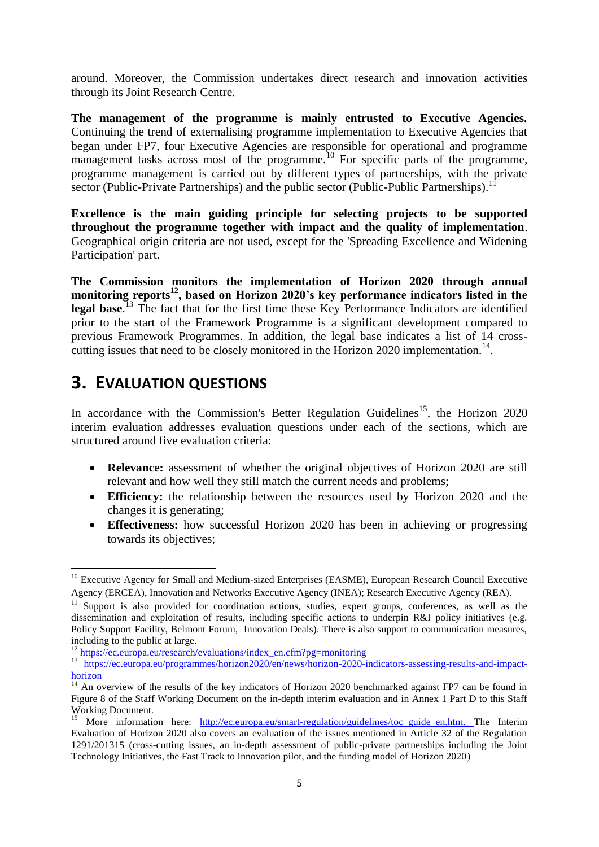around. Moreover, the Commission undertakes direct research and innovation activities through its Joint Research Centre.

**The management of the programme is mainly entrusted to Executive Agencies.** Continuing the trend of externalising programme implementation to Executive Agencies that began under FP7, four Executive Agencies are responsible for operational and programme management tasks across most of the programme.<sup>10</sup> For specific parts of the programme, programme management is carried out by different types of partnerships, with the private sector (Public-Private Partnerships) and the public sector (Public-Public Partnerships).<sup>11</sup>

**Excellence is the main guiding principle for selecting projects to be supported throughout the programme together with impact and the quality of implementation**. Geographical origin criteria are not used, except for the 'Spreading Excellence and Widening Participation' part.

**The Commission monitors the implementation of Horizon 2020 through annual monitoring reports<sup>12</sup>, based on Horizon 2020's key performance indicators listed in the legal base**. <sup>13</sup> The fact that for the first time these Key Performance Indicators are identified prior to the start of the Framework Programme is a significant development compared to previous Framework Programmes. In addition, the legal base indicates a list of 14 crosscutting issues that need to be closely monitored in the Horizon 2020 implementation.<sup>14</sup>.

# **3. EVALUATION QUESTIONS**

**.** 

In accordance with the Commission's Better Regulation Guidelines<sup>15</sup>, the Horizon 2020 interim evaluation addresses evaluation questions under each of the sections, which are structured around five evaluation criteria:

- **Relevance:** assessment of whether the original objectives of Horizon 2020 are still relevant and how well they still match the current needs and problems;
- **Efficiency:** the relationship between the resources used by Horizon 2020 and the changes it is generating;
- **Effectiveness:** how successful Horizon 2020 has been in achieving or progressing towards its objectives;

 $10$  Executive Agency for Small and Medium-sized Enterprises (EASME), European Research Council Executive Agency (ERCEA), Innovation and Networks Executive Agency (INEA); Research Executive Agency (REA).

 $11$  Support is also provided for coordination actions, studies, expert groups, conferences, as well as the dissemination and exploitation of results, including specific actions to underpin R&I policy initiatives (e.g. Policy Support Facility, Belmont Forum, Innovation Deals). There is also support to communication measures, including to the public at large.

<sup>12</sup> [https://ec.europa.eu/research/evaluations/index\\_en.cfm?pg=monitoring](https://ec.europa.eu/research/evaluations/index_en.cfm?pg=monitoring)

<sup>13</sup> [https://ec.europa.eu/programmes/horizon2020/en/news/horizon-2020-indicators-assessing-results-and-impact](https://ec.europa.eu/programmes/horizon2020/en/news/horizon-2020-indicators-assessing-results-and-impact-horizon)**[horizon](https://ec.europa.eu/programmes/horizon2020/en/news/horizon-2020-indicators-assessing-results-and-impact-horizon)** 

 $\frac{14}{14}$  An overview of the results of the key indicators of Horizon 2020 benchmarked against FP7 can be found in Figure 8 of the Staff Working Document on the in-depth interim evaluation and in Annex 1 Part D to this Staff Working Document.

<sup>&</sup>lt;sup>15</sup> More information here: [http://ec.europa.eu/smart-regulation/guidelines/toc\\_guide\\_en.htm.](http://ec.europa.eu/smart-regulation/guidelines/toc_guide_en.htm) The Interim Evaluation of Horizon 2020 also covers an evaluation of the issues mentioned in Article 32 of the Regulation 1291/201315 (cross-cutting issues, an in-depth assessment of public-private partnerships including the Joint Technology Initiatives, the Fast Track to Innovation pilot, and the funding model of Horizon 2020)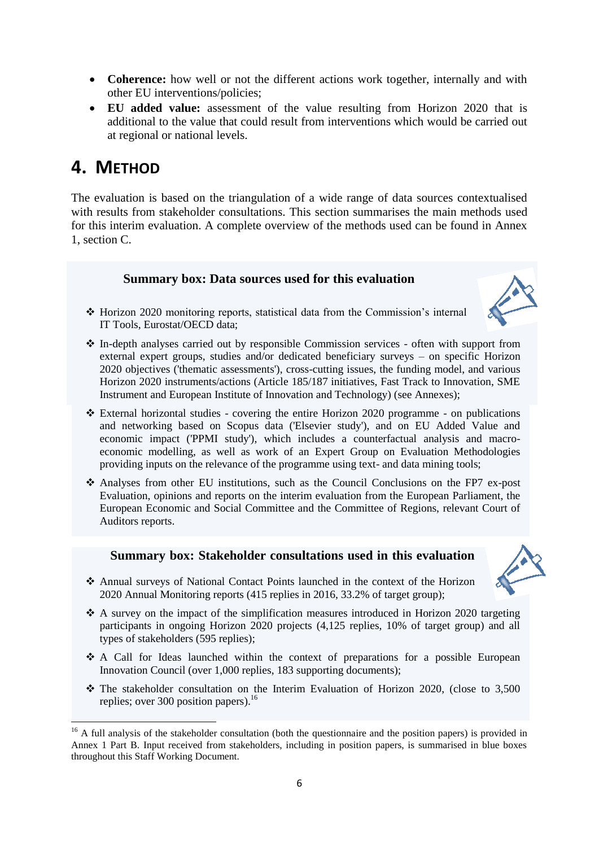- **Coherence:** how well or not the different actions work together, internally and with other EU interventions/policies;
- **EU added value:** assessment of the value resulting from Horizon 2020 that is additional to the value that could result from interventions which would be carried out at regional or national levels.

# **4. METHOD**

 $\overline{a}$ 

The evaluation is based on the triangulation of a wide range of data sources contextualised with results from stakeholder consultations. This section summarises the main methods used for this interim evaluation. A complete overview of the methods used can be found in Annex 1, section C.

## **Summary box: Data sources used for this evaluation**



- Horizon 2020 monitoring reports, statistical data from the Commission's internal IT Tools, Eurostat/OECD data;
- In-depth analyses carried out by responsible Commission services often with support from external expert groups, studies and/or dedicated beneficiary surveys – on specific Horizon 2020 objectives ('thematic assessments'), cross-cutting issues, the funding model, and various Horizon 2020 instruments/actions (Article 185/187 initiatives, Fast Track to Innovation, SME Instrument and European Institute of Innovation and Technology) (see Annexes);
- External horizontal studies covering the entire Horizon 2020 programme on publications and networking based on Scopus data ('Elsevier study'), and on EU Added Value and economic impact ('PPMI study'), which includes a counterfactual analysis and macroeconomic modelling, as well as work of an Expert Group on Evaluation Methodologies providing inputs on the relevance of the programme using text- and data mining tools;
- Analyses from other EU institutions, such as the Council Conclusions on the FP7 ex-post Evaluation, opinions and reports on the interim evaluation from the European Parliament, the European Economic and Social Committee and the Committee of Regions, relevant Court of Auditors reports.

# **Summary box: Stakeholder consultations used in this evaluation**



- Annual surveys of National Contact Points launched in the context of the Horizon 2020 Annual Monitoring reports (415 replies in 2016, 33.2% of target group);
- A survey on the impact of the simplification measures introduced in Horizon 2020 targeting participants in ongoing Horizon 2020 projects (4,125 replies, 10% of target group) and all types of stakeholders (595 replies);
- A Call for Ideas launched within the context of preparations for a possible European Innovation Council (over 1,000 replies, 183 supporting documents);
- $\div$  The stakeholder consultation on the Interim Evaluation of Horizon 2020, (close to 3,500 replies; over 300 position papers).<sup>16</sup>

<sup>&</sup>lt;sup>16</sup> A full analysis of the stakeholder consultation (both the questionnaire and the position papers) is provided in Annex 1 Part B. Input received from stakeholders, including in position papers, is summarised in blue boxes throughout this Staff Working Document.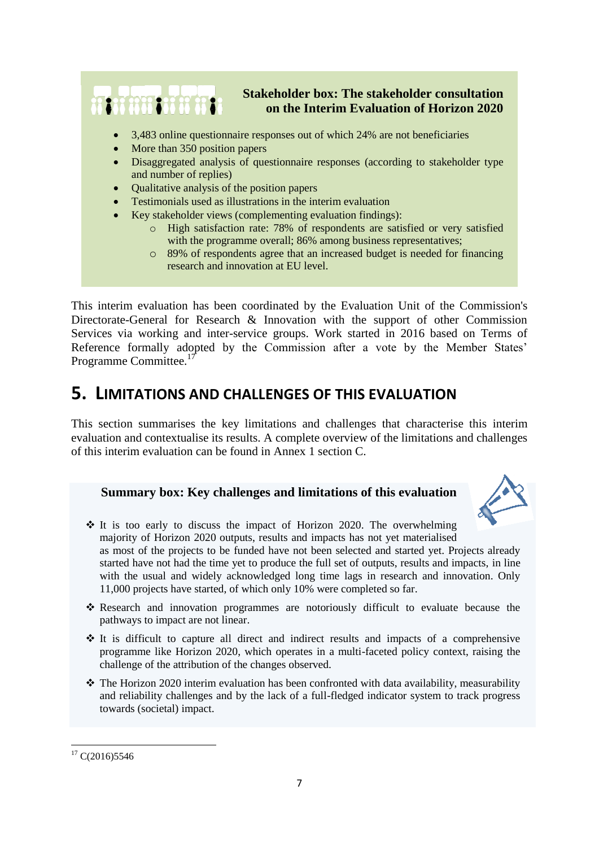

This interim evaluation has been coordinated by the Evaluation Unit of the Commission's Directorate-General for Research & Innovation with the support of other Commission Services via working and inter-service groups. Work started in 2016 based on Terms of Reference formally adopted by the Commission after a vote by the Member States' Programme Committee.<sup>17</sup>

# **5. LIMITATIONS AND CHALLENGES OF THIS EVALUATION**

This section summarises the key limitations and challenges that characterise this interim evaluation and contextualise its results. A complete overview of the limitations and challenges of this interim evaluation can be found in Annex 1 section C.

## **Summary box: Key challenges and limitations of this evaluation**



 $\div$  It is too early to discuss the impact of Horizon 2020. The overwhelming majority of Horizon 2020 outputs, results and impacts has not yet materialised as most of the projects to be funded have not been selected and started yet. Projects already started have not had the time yet to produce the full set of outputs, results and impacts, in line with the usual and widely acknowledged long time lags in research and innovation. Only 11,000 projects have started, of which only 10% were completed so far.

- Research and innovation programmes are notoriously difficult to evaluate because the pathways to impact are not linear.
- $\div$  It is difficult to capture all direct and indirect results and impacts of a comprehensive programme like Horizon 2020, which operates in a multi-faceted policy context, raising the challenge of the attribution of the changes observed.
- $\hat{\mathbf{v}}$  The Horizon 2020 interim evaluation has been confronted with data availability, measurability and reliability challenges and by the lack of a full-fledged indicator system to track progress towards (societal) impact.

**<sup>.</sup>**  $17$  C(2016)5546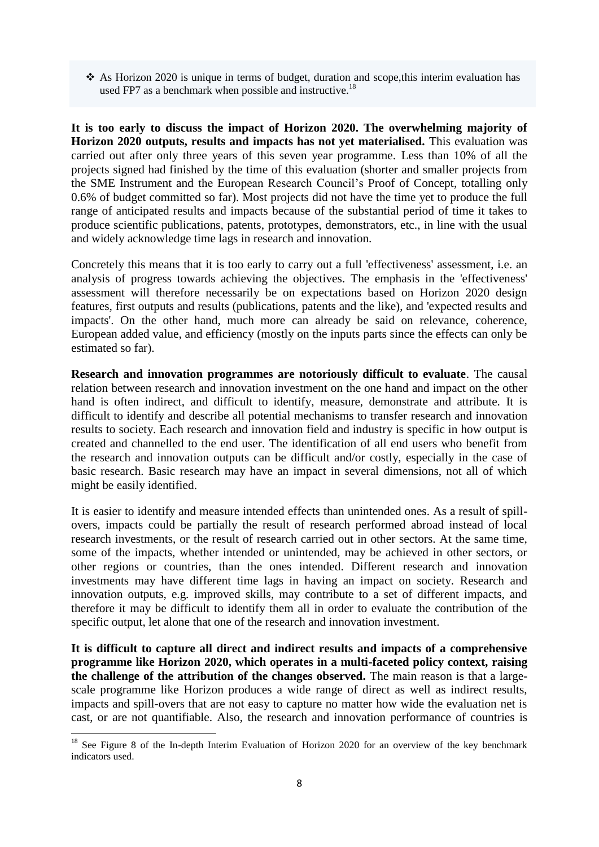As Horizon 2020 is unique in terms of budget, duration and scope,this interim evaluation has used FP7 as a benchmark when possible and instructive.<sup>18</sup>

**It is too early to discuss the impact of Horizon 2020. The overwhelming majority of Horizon 2020 outputs, results and impacts has not yet materialised.** This evaluation was carried out after only three years of this seven year programme. Less than 10% of all the projects signed had finished by the time of this evaluation (shorter and smaller projects from the SME Instrument and the European Research Council's Proof of Concept, totalling only 0.6% of budget committed so far). Most projects did not have the time yet to produce the full range of anticipated results and impacts because of the substantial period of time it takes to produce scientific publications, patents, prototypes, demonstrators, etc., in line with the usual and widely acknowledge time lags in research and innovation.

Concretely this means that it is too early to carry out a full 'effectiveness' assessment, i.e. an analysis of progress towards achieving the objectives. The emphasis in the 'effectiveness' assessment will therefore necessarily be on expectations based on Horizon 2020 design features, first outputs and results (publications, patents and the like), and 'expected results and impacts'. On the other hand, much more can already be said on relevance, coherence, European added value, and efficiency (mostly on the inputs parts since the effects can only be estimated so far).

**Research and innovation programmes are notoriously difficult to evaluate**. The causal relation between research and innovation investment on the one hand and impact on the other hand is often indirect, and difficult to identify, measure, demonstrate and attribute. It is difficult to identify and describe all potential mechanisms to transfer research and innovation results to society. Each research and innovation field and industry is specific in how output is created and channelled to the end user. The identification of all end users who benefit from the research and innovation outputs can be difficult and/or costly, especially in the case of basic research. Basic research may have an impact in several dimensions, not all of which might be easily identified.

It is easier to identify and measure intended effects than unintended ones. As a result of spillovers, impacts could be partially the result of research performed abroad instead of local research investments, or the result of research carried out in other sectors. At the same time, some of the impacts, whether intended or unintended, may be achieved in other sectors, or other regions or countries, than the ones intended. Different research and innovation investments may have different time lags in having an impact on society. Research and innovation outputs, e.g. improved skills, may contribute to a set of different impacts, and therefore it may be difficult to identify them all in order to evaluate the contribution of the specific output, let alone that one of the research and innovation investment.

**It is difficult to capture all direct and indirect results and impacts of a comprehensive programme like Horizon 2020, which operates in a multi-faceted policy context, raising the challenge of the attribution of the changes observed.** The main reason is that a largescale programme like Horizon produces a wide range of direct as well as indirect results, impacts and spill-overs that are not easy to capture no matter how wide the evaluation net is cast, or are not quantifiable. Also, the research and innovation performance of countries is

1

<sup>&</sup>lt;sup>18</sup> See Figure 8 of the In-depth Interim Evaluation of Horizon 2020 for an overview of the key benchmark indicators used.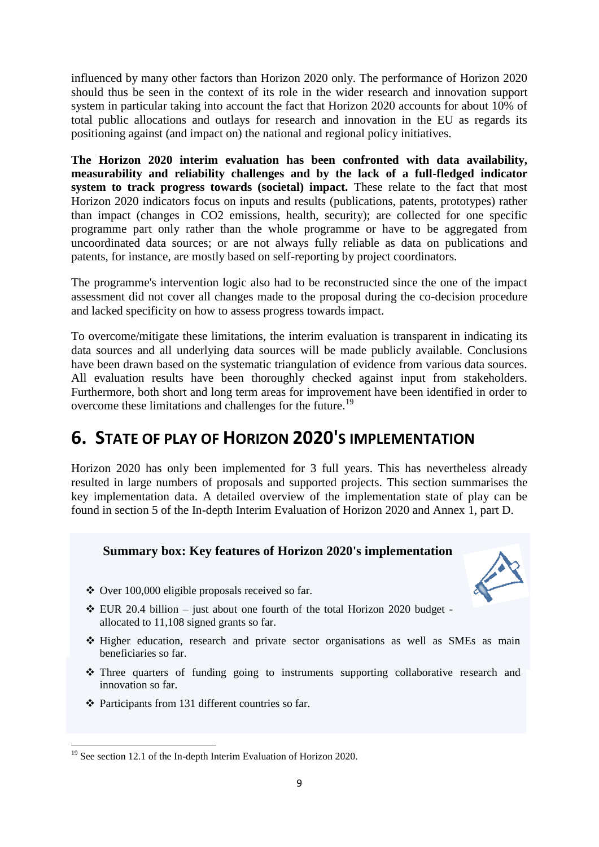influenced by many other factors than Horizon 2020 only. The performance of Horizon 2020 should thus be seen in the context of its role in the wider research and innovation support system in particular taking into account the fact that Horizon 2020 accounts for about 10% of total public allocations and outlays for research and innovation in the EU as regards its positioning against (and impact on) the national and regional policy initiatives.

**The Horizon 2020 interim evaluation has been confronted with data availability, measurability and reliability challenges and by the lack of a full-fledged indicator system to track progress towards (societal) impact.** These relate to the fact that most Horizon 2020 indicators focus on inputs and results (publications, patents, prototypes) rather than impact (changes in CO2 emissions, health, security); are collected for one specific programme part only rather than the whole programme or have to be aggregated from uncoordinated data sources; or are not always fully reliable as data on publications and patents, for instance, are mostly based on self-reporting by project coordinators.

The programme's intervention logic also had to be reconstructed since the one of the impact assessment did not cover all changes made to the proposal during the co-decision procedure and lacked specificity on how to assess progress towards impact.

To overcome/mitigate these limitations, the interim evaluation is transparent in indicating its data sources and all underlying data sources will be made publicly available. Conclusions have been drawn based on the systematic triangulation of evidence from various data sources. All evaluation results have been thoroughly checked against input from stakeholders. Furthermore, both short and long term areas for improvement have been identified in order to overcome these limitations and challenges for the future.<sup>19</sup>

# **6. STATE OF PLAY OF HORIZON 2020'S IMPLEMENTATION**

Horizon 2020 has only been implemented for 3 full years. This has nevertheless already resulted in large numbers of proposals and supported projects. This section summarises the key implementation data. A detailed overview of the implementation state of play can be found in section 5 of the In-depth Interim Evaluation of Horizon 2020 and Annex 1, part D.

## **Summary box: Key features of Horizon 2020's implementation**



- $\triangle$  Over 100,000 eligible proposals received so far.
- $\div$  EUR 20.4 billion just about one fourth of the total Horizon 2020 budget allocated to 11,108 signed grants so far.
- Higher education, research and private sector organisations as well as SMEs as main beneficiaries so far.
- Three quarters of funding going to instruments supporting collaborative research and innovation so far.
- Participants from 131 different countries so far.

**<sup>.</sup>** <sup>19</sup> See section 12.1 of the In-depth Interim Evaluation of Horizon 2020.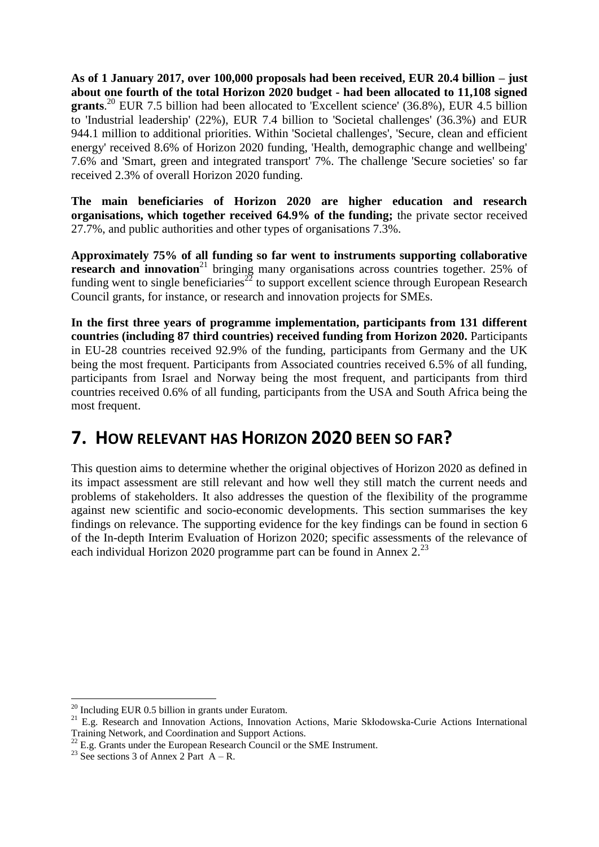**As of 1 January 2017, over 100,000 proposals had been received, EUR 20.4 billion – just about one fourth of the total Horizon 2020 budget - had been allocated to 11,108 signed**  grants.<sup>20</sup> EUR 7.5 billion had been allocated to 'Excellent science' (36.8%), EUR 4.5 billion to 'Industrial leadership' (22%), EUR 7.4 billion to 'Societal challenges' (36.3%) and EUR 944.1 million to additional priorities. Within 'Societal challenges', 'Secure, clean and efficient energy' received 8.6% of Horizon 2020 funding, 'Health, demographic change and wellbeing' 7.6% and 'Smart, green and integrated transport' 7%. The challenge 'Secure societies' so far received 2.3% of overall Horizon 2020 funding.

**The main beneficiaries of Horizon 2020 are higher education and research organisations, which together received 64.9% of the funding;** the private sector received 27.7%, and public authorities and other types of organisations 7.3%.

**Approximately 75% of all funding so far went to instruments supporting collaborative research and innovation**<sup>21</sup> bringing many organisations across countries together. 25% of funding went to single beneficiaries<sup>22</sup> to support excellent science through European Research Council grants, for instance, or research and innovation projects for SMEs.

**In the first three years of programme implementation, participants from 131 different countries (including 87 third countries) received funding from Horizon 2020.** Participants in EU-28 countries received 92.9% of the funding, participants from Germany and the UK being the most frequent. Participants from Associated countries received 6.5% of all funding, participants from Israel and Norway being the most frequent, and participants from third countries received 0.6% of all funding, participants from the USA and South Africa being the most frequent.

# **7. HOW RELEVANT HAS HORIZON 2020 BEEN SO FAR?**

This question aims to determine whether the original objectives of Horizon 2020 as defined in its impact assessment are still relevant and how well they still match the current needs and problems of stakeholders. It also addresses the question of the flexibility of the programme against new scientific and socio-economic developments. This section summarises the key findings on relevance. The supporting evidence for the key findings can be found in section 6 of the In-depth Interim Evaluation of Horizon 2020; specific assessments of the relevance of each individual Horizon 2020 programme part can be found in Annex 2.<sup>23</sup>

**<sup>.</sup>**  $^{20}$  Including EUR 0.5 billion in grants under Euratom.

<sup>&</sup>lt;sup>21</sup> E.g. Research and Innovation Actions, Innovation Actions, Marie Skłodowska-Curie Actions International Training Network, and Coordination and Support Actions.

 $22$  E.g. Grants under the European Research Council or the SME Instrument.

<sup>&</sup>lt;sup>23</sup> See sections 3 of Annex 2 Part  $A - R$ .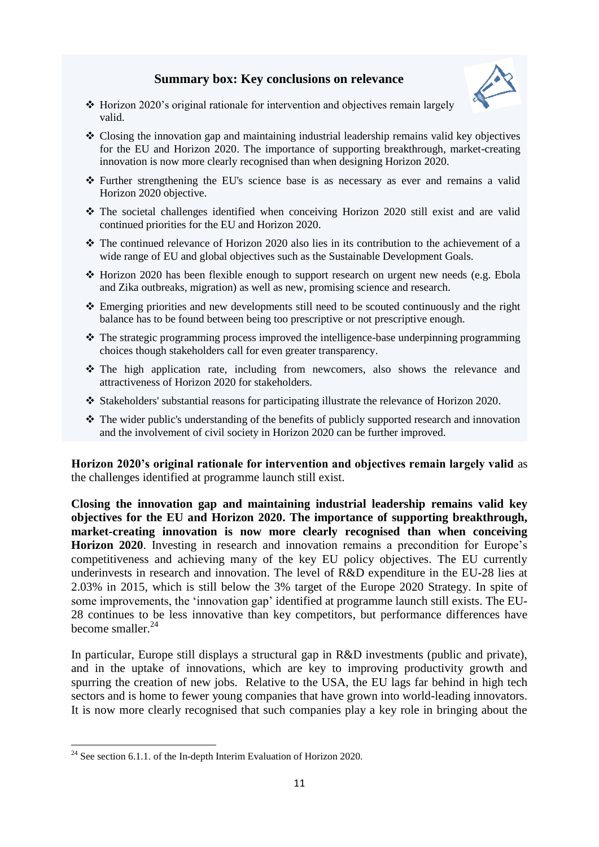## **Summary box: Key conclusions on relevance**



- Horizon 2020's original rationale for intervention and objectives remain largely valid.
- Closing the innovation gap and maintaining industrial leadership remains valid key objectives for the EU and Horizon 2020. The importance of supporting breakthrough, market-creating innovation is now more clearly recognised than when designing Horizon 2020.
- $\div$  Further strengthening the EU's science base is as necessary as ever and remains a valid Horizon 2020 objective.
- The societal challenges identified when conceiving Horizon 2020 still exist and are valid continued priorities for the EU and Horizon 2020.
- The continued relevance of Horizon 2020 also lies in its contribution to the achievement of a wide range of EU and global objectives such as the Sustainable Development Goals.
- Horizon 2020 has been flexible enough to support research on urgent new needs (e.g. Ebola and Zika outbreaks, migration) as well as new, promising science and research.
- Emerging priorities and new developments still need to be scouted continuously and the right balance has to be found between being too prescriptive or not prescriptive enough.
- $\cdot$  The strategic programming process improved the intelligence-base underpinning programming choices though stakeholders call for even greater transparency.
- The high application rate, including from newcomers, also shows the relevance and attractiveness of Horizon 2020 for stakeholders.
- \* Stakeholders' substantial reasons for participating illustrate the relevance of Horizon 2020.
- The wider public's understanding of the benefits of publicly supported research and innovation and the involvement of civil society in Horizon 2020 can be further improved.

**Horizon 2020's original rationale for intervention and objectives remain largely valid** as the challenges identified at programme launch still exist.

**Closing the innovation gap and maintaining industrial leadership remains valid key objectives for the EU and Horizon 2020. The importance of supporting breakthrough, market-creating innovation is now more clearly recognised than when conceiving Horizon 2020**. Investing in research and innovation remains a precondition for Europe's competitiveness and achieving many of the key EU policy objectives. The EU currently underinvests in research and innovation. The level of R&D expenditure in the EU-28 lies at 2.03% in 2015, which is still below the 3% target of the Europe 2020 Strategy. In spite of some improvements, the 'innovation gap' identified at programme launch still exists. The EU-28 continues to be less innovative than key competitors, but performance differences have become smaller. $^{24}$ 

In particular, Europe still displays a structural gap in R&D investments (public and private), and in the uptake of innovations, which are key to improving productivity growth and spurring the creation of new jobs. Relative to the USA, the EU lags far behind in high tech sectors and is home to fewer young companies that have grown into world-leading innovators. It is now more clearly recognised that such companies play a key role in bringing about the

**<sup>.</sup>**  $24$  See section 6.1.1. of the In-depth Interim Evaluation of Horizon 2020.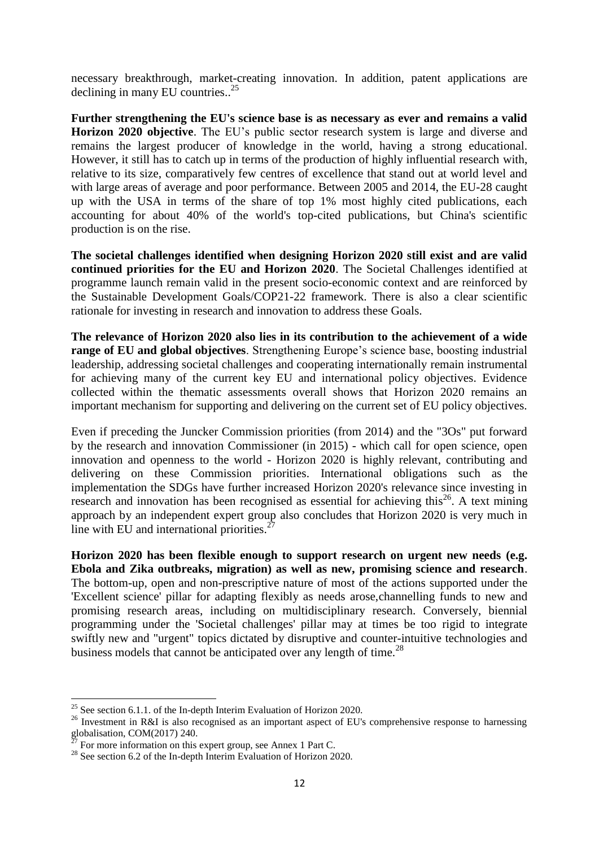necessary breakthrough, market-creating innovation. In addition, patent applications are declining in many EU countries.. 25

**Further strengthening the EU's science base is as necessary as ever and remains a valid Horizon 2020 objective**. The EU's public sector research system is large and diverse and remains the largest producer of knowledge in the world, having a strong educational. However, it still has to catch up in terms of the production of highly influential research with, relative to its size, comparatively few centres of excellence that stand out at world level and with large areas of average and poor performance. Between 2005 and 2014, the EU-28 caught up with the USA in terms of the share of top 1% most highly cited publications, each accounting for about 40% of the world's top-cited publications, but China's scientific production is on the rise.

**The societal challenges identified when designing Horizon 2020 still exist and are valid continued priorities for the EU and Horizon 2020**. The Societal Challenges identified at programme launch remain valid in the present socio-economic context and are reinforced by the Sustainable Development Goals/COP21-22 framework. There is also a clear scientific rationale for investing in research and innovation to address these Goals.

**The relevance of Horizon 2020 also lies in its contribution to the achievement of a wide range of EU and global objectives**. Strengthening Europe's science base, boosting industrial leadership, addressing societal challenges and cooperating internationally remain instrumental for achieving many of the current key EU and international policy objectives. Evidence collected within the thematic assessments overall shows that Horizon 2020 remains an important mechanism for supporting and delivering on the current set of EU policy objectives.

Even if preceding the Juncker Commission priorities (from 2014) and the "3Os" put forward by the research and innovation Commissioner (in 2015) - which call for open science, open innovation and openness to the world - Horizon 2020 is highly relevant, contributing and delivering on these Commission priorities. International obligations such as the implementation the SDGs have further increased Horizon 2020's relevance since investing in research and innovation has been recognised as essential for achieving this $^{26}$ . A text mining approach by an independent expert group also concludes that Horizon 2020 is very much in line with EU and international priorities. $\frac{2}{3}$ 

**Horizon 2020 has been flexible enough to support research on urgent new needs (e.g. Ebola and Zika outbreaks, migration) as well as new, promising science and research**. The bottom-up, open and non-prescriptive nature of most of the actions supported under the 'Excellent science' pillar for adapting flexibly as needs arose,channelling funds to new and promising research areas, including on multidisciplinary research. Conversely, biennial programming under the 'Societal challenges' pillar may at times be too rigid to integrate swiftly new and "urgent" topics dictated by disruptive and counter-intuitive technologies and business models that cannot be anticipated over any length of time.<sup>28</sup>

**.** 

<sup>&</sup>lt;sup>25</sup> See section 6.1.1. of the In-depth Interim Evaluation of Horizon 2020.

 $^{26}$  Investment in R&I is also recognised as an important aspect of EU's comprehensive response to harnessing globalisation, COM(2017) 240.

<sup>27</sup> For more information on this expert group, see Annex 1 Part C.

<sup>&</sup>lt;sup>28</sup> See section 6.2 of the In-depth Interim Evaluation of Horizon 2020.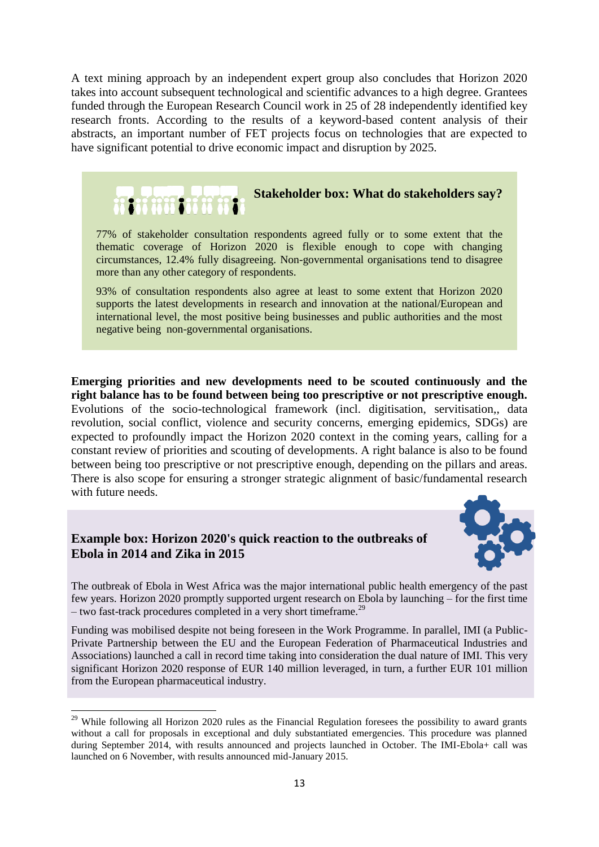A text mining approach by an independent expert group also concludes that Horizon 2020 takes into account subsequent technological and scientific advances to a high degree. Grantees funded through the European Research Council work in 25 of 28 independently identified key research fronts. According to the results of a keyword-based content analysis of their abstracts, an important number of FET projects focus on technologies that are expected to have significant potential to drive economic impact and disruption by 2025.



thematic coverage of Horizon 2020 is flexible enough to cope with changing circumstances, 12.4% fully disagreeing. Non-governmental organisations tend to disagree more than any other category of respondents.

93% of consultation respondents also agree at least to some extent that Horizon 2020 supports the latest developments in research and innovation at the national/European and international level, the most positive being businesses and public authorities and the most negative being non-governmental organisations.

**Emerging priorities and new developments need to be scouted continuously and the right balance has to be found between being too prescriptive or not prescriptive enough.** Evolutions of the socio-technological framework (incl. digitisation, servitisation,, data revolution, social conflict, violence and security concerns, emerging epidemics, SDGs) are expected to profoundly impact the Horizon 2020 context in the coming years, calling for a constant review of priorities and scouting of developments. A right balance is also to be found between being too prescriptive or not prescriptive enough, depending on the pillars and areas. There is also scope for ensuring a stronger strategic alignment of basic/fundamental research with future needs.

## **Example box: Horizon 2020's quick reaction to the outbreaks of Ebola in 2014 and Zika in 2015**

**.** 



The outbreak of Ebola in West Africa was the major international public health emergency of the past few years. Horizon 2020 promptly supported urgent research on Ebola by launching – for the first time – two fast-track procedures completed in a very short timeframe.<sup>29</sup>

Funding was mobilised despite not being foreseen in the Work Programme. In parallel, IMI (a Public-Private Partnership between the EU and the European Federation of Pharmaceutical Industries and Associations) launched a call in record time taking into consideration the dual nature of IMI. This very significant Horizon 2020 response of EUR 140 million leveraged, in turn, a further EUR 101 million from the European pharmaceutical industry.

 $29$  While following all Horizon 2020 rules as the Financial Regulation foresees the possibility to award grants without a call for proposals in exceptional and duly substantiated emergencies. This procedure was planned during September 2014, with results announced and projects launched in October. The IMI-Ebola+ call was launched on 6 November, with results announced mid-January 2015.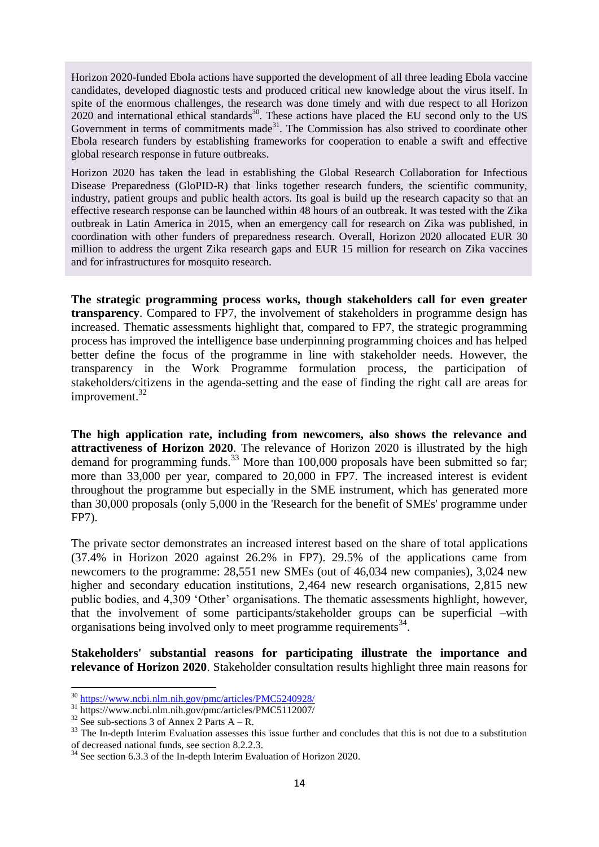Horizon 2020-funded Ebola actions have supported the development of all three leading Ebola vaccine candidates, developed diagnostic tests and produced critical new knowledge about the virus itself. In spite of the enormous challenges, the research was done timely and with due respect to all Horizon  $2020$  and international ethical standards<sup>30</sup>. These actions have placed the EU second only to the US Government in terms of commitments made<sup>31</sup>. The Commission has also strived to coordinate other Ebola research funders by establishing frameworks for cooperation to enable a swift and effective global research response in future outbreaks.

Horizon 2020 has taken the lead in establishing the Global Research Collaboration for Infectious Disease Preparedness (GloPID-R) that links together research funders, the scientific community, industry, patient groups and public health actors. Its goal is build up the research capacity so that an effective research response can be launched within 48 hours of an outbreak. It was tested with the Zika outbreak in Latin America in 2015, when an emergency call for research on Zika was published, in coordination with other funders of preparedness research. Overall, Horizon 2020 allocated EUR 30 million to address the urgent Zika research gaps and EUR 15 million for research on Zika vaccines and for infrastructures for mosquito research.

**The strategic programming process works, though stakeholders call for even greater transparency**. Compared to FP7, the involvement of stakeholders in programme design has increased. Thematic assessments highlight that, compared to FP7, the strategic programming process has improved the intelligence base underpinning programming choices and has helped better define the focus of the programme in line with stakeholder needs. However, the transparency in the Work Programme formulation process, the participation of stakeholders/citizens in the agenda-setting and the ease of finding the right call are areas for improvement.<sup>32</sup>

**The high application rate, including from newcomers, also shows the relevance and attractiveness of Horizon 2020**. The relevance of Horizon 2020 is illustrated by the high demand for programming funds.<sup>33</sup> More than 100,000 proposals have been submitted so far; more than 33,000 per year, compared to 20,000 in FP7. The increased interest is evident throughout the programme but especially in the SME instrument, which has generated more than 30,000 proposals (only 5,000 in the 'Research for the benefit of SMEs' programme under FP7).

The private sector demonstrates an increased interest based on the share of total applications (37.4% in Horizon 2020 against 26.2% in FP7). 29.5% of the applications came from newcomers to the programme: 28,551 new SMEs (out of 46,034 new companies), 3,024 new higher and secondary education institutions, 2,464 new research organisations, 2,815 new public bodies, and 4,309 'Other' organisations. The thematic assessments highlight, however, that the involvement of some participants/stakeholder groups can be superficial –with organisations being involved only to meet programme requirements<sup>34</sup>.

**Stakeholders' substantial reasons for participating illustrate the importance and relevance of Horizon 2020**. Stakeholder consultation results highlight three main reasons for

**.** 

<sup>30</sup> <https://www.ncbi.nlm.nih.gov/pmc/articles/PMC5240928/>

<sup>31</sup> https://www.ncbi.nlm.nih.gov/pmc/articles/PMC5112007/

 $32$  See sub-sections 3 of Annex 2 Parts A – R.

 $33$  The In-depth Interim Evaluation assesses this issue further and concludes that this is not due to a substitution of decreased national funds, see section 8.2.2.3.

 $34$  See section 6.3.3 of the In-depth Interim Evaluation of Horizon 2020.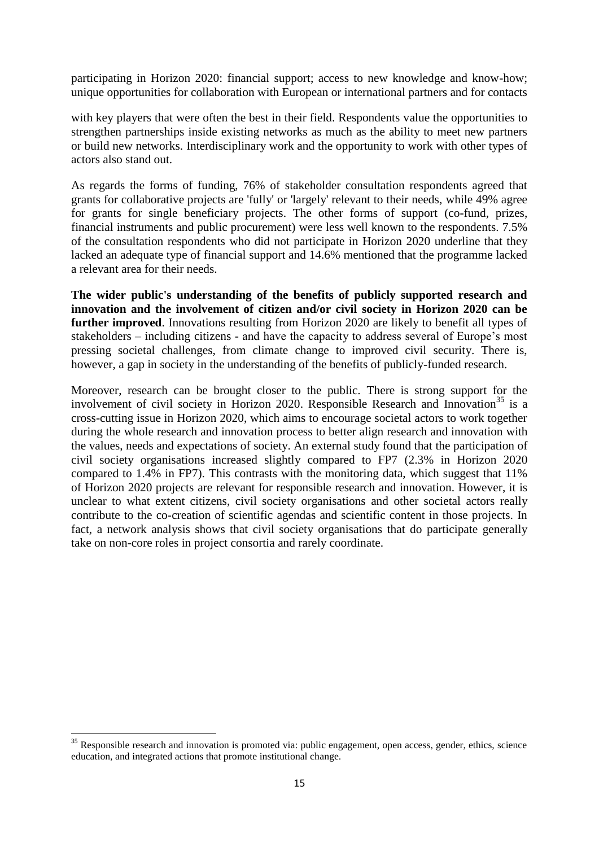participating in Horizon 2020: financial support; access to new knowledge and know-how; unique opportunities for collaboration with European or international partners and for contacts

with key players that were often the best in their field. Respondents value the opportunities to strengthen partnerships inside existing networks as much as the ability to meet new partners or build new networks. Interdisciplinary work and the opportunity to work with other types of actors also stand out.

As regards the forms of funding, 76% of stakeholder consultation respondents agreed that grants for collaborative projects are 'fully' or 'largely' relevant to their needs, while 49% agree for grants for single beneficiary projects. The other forms of support (co-fund, prizes, financial instruments and public procurement) were less well known to the respondents. 7.5% of the consultation respondents who did not participate in Horizon 2020 underline that they lacked an adequate type of financial support and 14.6% mentioned that the programme lacked a relevant area for their needs.

**The wider public's understanding of the benefits of publicly supported research and innovation and the involvement of citizen and/or civil society in Horizon 2020 can be further improved**. Innovations resulting from Horizon 2020 are likely to benefit all types of stakeholders – including citizens - and have the capacity to address several of Europe's most pressing societal challenges, from climate change to improved civil security. There is, however, a gap in society in the understanding of the benefits of publicly-funded research.

Moreover, research can be brought closer to the public. There is strong support for the involvement of civil society in Horizon 2020. Responsible Research and Innovation<sup>35</sup> is a cross-cutting issue in Horizon 2020, which aims to encourage societal actors to work together during the whole research and innovation process to better align research and innovation with the values, needs and expectations of society. An external study found that the participation of civil society organisations increased slightly compared to FP7 (2.3% in Horizon 2020 compared to 1.4% in FP7). This contrasts with the monitoring data, which suggest that 11% of Horizon 2020 projects are relevant for responsible research and innovation. However, it is unclear to what extent citizens, civil society organisations and other societal actors really contribute to the co-creation of scientific agendas and scientific content in those projects. In fact, a network analysis shows that civil society organisations that do participate generally take on non-core roles in project consortia and rarely coordinate.

1

 $35$  Responsible research and innovation is promoted via: public engagement, open access, gender, ethics, science education, and integrated actions that promote institutional change.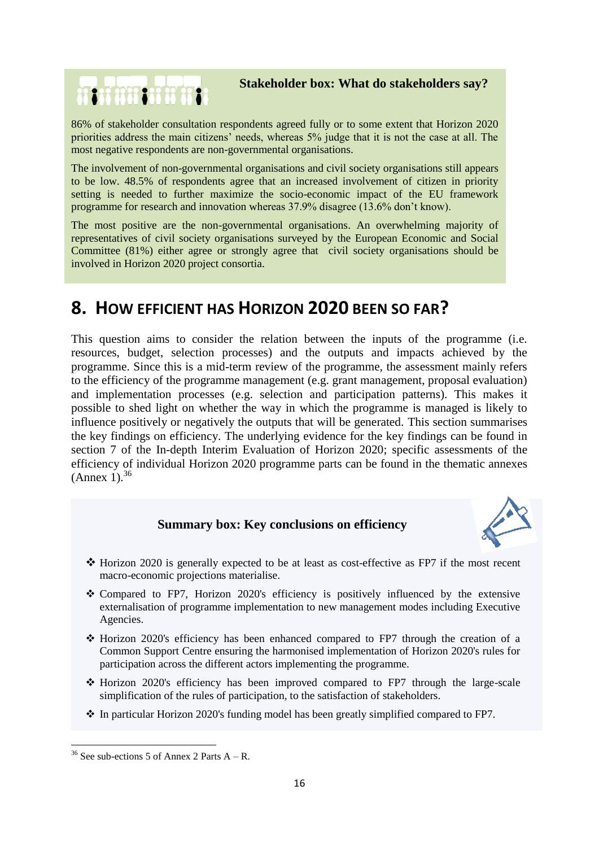## **Stakeholder box: What do stakeholders say?**

86% of stakeholder consultation respondents agreed fully or to some extent that Horizon 2020 priorities address the main citizens' needs, whereas 5% judge that it is not the case at all. The most negative respondents are non-governmental organisations.

The involvement of non-governmental organisations and civil society organisations still appears to be low. 48.5% of respondents agree that an increased involvement of citizen in priority setting is needed to further maximize the socio-economic impact of the EU framework programme for research and innovation whereas 37.9% disagree (13.6% don't know).

The most positive are the non-governmental organisations. An overwhelming majority of representatives of civil society organisations surveyed by the European Economic and Social Committee (81%) either agree or strongly agree that civil society organisations should be involved in Horizon 2020 project consortia.

# **8. HOW EFFICIENT HAS HORIZON 2020 BEEN SO FAR?**

This question aims to consider the relation between the inputs of the programme (i.e. resources, budget, selection processes) and the outputs and impacts achieved by the programme. Since this is a mid-term review of the programme, the assessment mainly refers to the efficiency of the programme management (e.g. grant management, proposal evaluation) and implementation processes (e.g. selection and participation patterns). This makes it possible to shed light on whether the way in which the programme is managed is likely to influence positively or negatively the outputs that will be generated. This section summarises the key findings on efficiency. The underlying evidence for the key findings can be found in section 7 of the In-depth Interim Evaluation of Horizon 2020; specific assessments of the efficiency of individual Horizon 2020 programme parts can be found in the thematic annexes  $(Annex 1).$ <sup>36</sup>

# **Summary box: Key conclusions on efficiency**



- Horizon 2020 is generally expected to be at least as cost-effective as FP7 if the most recent macro-economic projections materialise.
- Compared to FP7, Horizon 2020's efficiency is positively influenced by the extensive externalisation of programme implementation to new management modes including Executive Agencies.
- $\div$  Horizon 2020's efficiency has been enhanced compared to FP7 through the creation of a Common Support Centre ensuring the harmonised implementation of Horizon 2020's rules for participation across the different actors implementing the programme.
- $\div$  Horizon 2020's efficiency has been improved compared to FP7 through the large-scale simplification of the rules of participation, to the satisfaction of stakeholders.
- In particular Horizon 2020's funding model has been greatly simplified compared to FP7.

**REARTH OF REA** 

**<sup>.</sup>** <sup>36</sup> See sub-ections 5 of Annex 2 Parts  $A - R$ .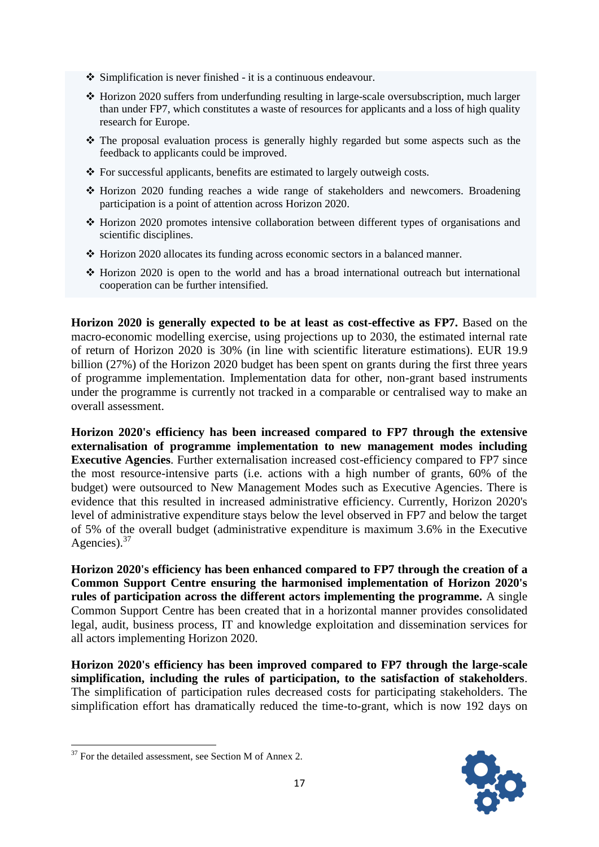- Simplification is never finished it is a continuous endeavour.
- ◆ Horizon 2020 suffers from underfunding resulting in large-scale oversubscription, much larger than under FP7, which constitutes a waste of resources for applicants and a loss of high quality research for Europe.
- $\cdot$  The proposal evaluation process is generally highly regarded but some aspects such as the feedback to applicants could be improved.
- $\triangle$  For successful applicants, benefits are estimated to largely outweigh costs.
- Horizon 2020 funding reaches a wide range of stakeholders and newcomers. Broadening participation is a point of attention across Horizon 2020.
- $\div$  Horizon 2020 promotes intensive collaboration between different types of organisations and scientific disciplines.
- $\cdot$  Horizon 2020 allocates its funding across economic sectors in a balanced manner.
- Horizon 2020 is open to the world and has a broad international outreach but international cooperation can be further intensified.

**Horizon 2020 is generally expected to be at least as cost-effective as FP7.** Based on the macro-economic modelling exercise, using projections up to 2030, the estimated internal rate of return of Horizon 2020 is 30% (in line with scientific literature estimations). EUR 19.9 billion (27%) of the Horizon 2020 budget has been spent on grants during the first three years of programme implementation. Implementation data for other, non-grant based instruments under the programme is currently not tracked in a comparable or centralised way to make an overall assessment.

**Horizon 2020's efficiency has been increased compared to FP7 through the extensive externalisation of programme implementation to new management modes including Executive Agencies**. Further externalisation increased cost-efficiency compared to FP7 since the most resource-intensive parts (i.e. actions with a high number of grants, 60% of the budget) were outsourced to New Management Modes such as Executive Agencies. There is evidence that this resulted in increased administrative efficiency. Currently, Horizon 2020's level of administrative expenditure stays below the level observed in FP7 and below the target of 5% of the overall budget (administrative expenditure is maximum 3.6% in the Executive Agencies).  $37$ 

**Horizon 2020's efficiency has been enhanced compared to FP7 through the creation of a Common Support Centre ensuring the harmonised implementation of Horizon 2020's rules of participation across the different actors implementing the programme.** A single Common Support Centre has been created that in a horizontal manner provides consolidated legal, audit, business process, IT and knowledge exploitation and dissemination services for all actors implementing Horizon 2020.

**Horizon 2020's efficiency has been improved compared to FP7 through the large-scale simplification, including the rules of participation, to the satisfaction of stakeholders**. The simplification of participation rules decreased costs for participating stakeholders. The simplification effort has dramatically reduced the time-to-grant, which is now 192 days on



**<sup>.</sup>**  $37$  For the detailed assessment, see Section M of Annex 2.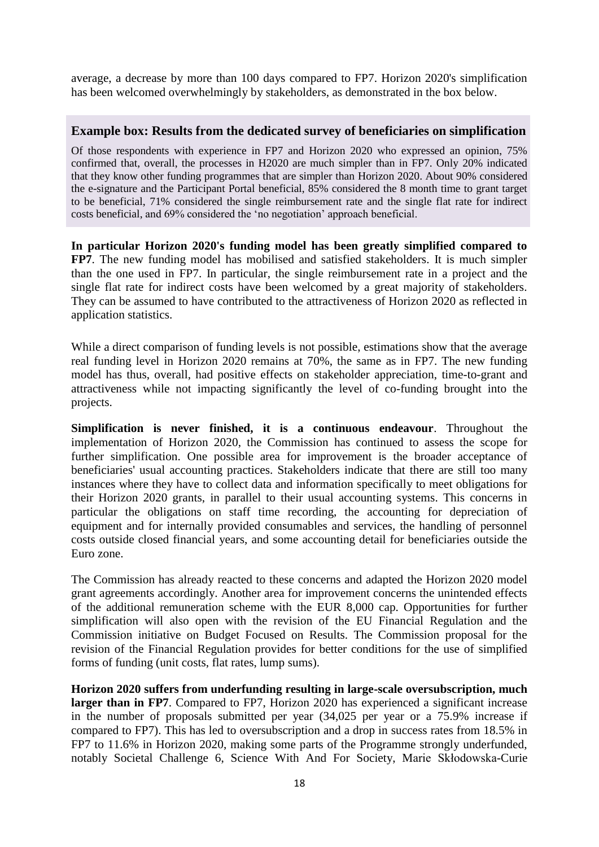average, a decrease by more than 100 days compared to FP7. Horizon 2020's simplification has been welcomed overwhelmingly by stakeholders, as demonstrated in the box below.

#### **Example box: Results from the dedicated survey of beneficiaries on simplification**

Of those respondents with experience in FP7 and Horizon 2020 who expressed an opinion, 75% confirmed that, overall, the processes in H2020 are much simpler than in FP7. Only 20% indicated that they know other funding programmes that are simpler than Horizon 2020. About 90% considered the e-signature and the Participant Portal beneficial, 85% considered the 8 month time to grant target to be beneficial, 71% considered the single reimbursement rate and the single flat rate for indirect costs beneficial, and 69% considered the 'no negotiation' approach beneficial.

**In particular Horizon 2020's funding model has been greatly simplified compared to FP7**. The new funding model has mobilised and satisfied stakeholders. It is much simpler than the one used in FP7. In particular, the single reimbursement rate in a project and the single flat rate for indirect costs have been welcomed by a great majority of stakeholders. They can be assumed to have contributed to the attractiveness of Horizon 2020 as reflected in application statistics.

While a direct comparison of funding levels is not possible, estimations show that the average real funding level in Horizon 2020 remains at 70%, the same as in FP7. The new funding model has thus, overall, had positive effects on stakeholder appreciation, time-to-grant and attractiveness while not impacting significantly the level of co-funding brought into the projects.

**Simplification is never finished, it is a continuous endeavour**. Throughout the implementation of Horizon 2020, the Commission has continued to assess the scope for further simplification. One possible area for improvement is the broader acceptance of beneficiaries' usual accounting practices. Stakeholders indicate that there are still too many instances where they have to collect data and information specifically to meet obligations for their Horizon 2020 grants, in parallel to their usual accounting systems. This concerns in particular the obligations on staff time recording, the accounting for depreciation of equipment and for internally provided consumables and services, the handling of personnel costs outside closed financial years, and some accounting detail for beneficiaries outside the Euro zone.

The Commission has already reacted to these concerns and adapted the Horizon 2020 model grant agreements accordingly. Another area for improvement concerns the unintended effects of the additional remuneration scheme with the EUR 8,000 cap. Opportunities for further simplification will also open with the revision of the EU Financial Regulation and the Commission initiative on Budget Focused on Results. The Commission proposal for the revision of the Financial Regulation provides for better conditions for the use of simplified forms of funding (unit costs, flat rates, lump sums).

**Horizon 2020 suffers from underfunding resulting in large-scale oversubscription, much**  larger than in FP7. Compared to FP7, Horizon 2020 has experienced a significant increase in the number of proposals submitted per year (34,025 per year or a 75.9% increase if compared to FP7). This has led to oversubscription and a drop in success rates from 18.5% in FP7 to 11.6% in Horizon 2020, making some parts of the Programme strongly underfunded, notably Societal Challenge 6, Science With And For Society, Marie Skłodowska-Curie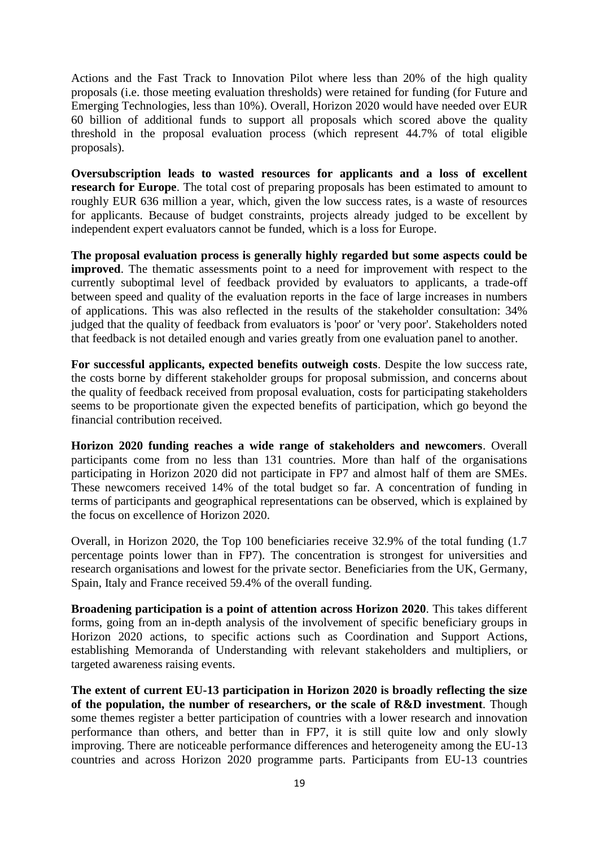Actions and the Fast Track to Innovation Pilot where less than 20% of the high quality proposals (i.e. those meeting evaluation thresholds) were retained for funding (for Future and Emerging Technologies, less than 10%). Overall, Horizon 2020 would have needed over EUR 60 billion of additional funds to support all proposals which scored above the quality threshold in the proposal evaluation process (which represent 44.7% of total eligible proposals).

**Oversubscription leads to wasted resources for applicants and a loss of excellent research for Europe**. The total cost of preparing proposals has been estimated to amount to roughly EUR 636 million a year, which, given the low success rates, is a waste of resources for applicants. Because of budget constraints, projects already judged to be excellent by independent expert evaluators cannot be funded, which is a loss for Europe.

**The proposal evaluation process is generally highly regarded but some aspects could be improved**. The thematic assessments point to a need for improvement with respect to the currently suboptimal level of feedback provided by evaluators to applicants, a trade-off between speed and quality of the evaluation reports in the face of large increases in numbers of applications. This was also reflected in the results of the stakeholder consultation: 34% judged that the quality of feedback from evaluators is 'poor' or 'very poor'. Stakeholders noted that feedback is not detailed enough and varies greatly from one evaluation panel to another.

**For successful applicants, expected benefits outweigh costs**. Despite the low success rate, the costs borne by different stakeholder groups for proposal submission, and concerns about the quality of feedback received from proposal evaluation, costs for participating stakeholders seems to be proportionate given the expected benefits of participation, which go beyond the financial contribution received.

**Horizon 2020 funding reaches a wide range of stakeholders and newcomers**. Overall participants come from no less than 131 countries. More than half of the organisations participating in Horizon 2020 did not participate in FP7 and almost half of them are SMEs. These newcomers received 14% of the total budget so far. A concentration of funding in terms of participants and geographical representations can be observed, which is explained by the focus on excellence of Horizon 2020.

Overall, in Horizon 2020, the Top 100 beneficiaries receive 32.9% of the total funding (1.7 percentage points lower than in FP7). The concentration is strongest for universities and research organisations and lowest for the private sector. Beneficiaries from the UK, Germany, Spain, Italy and France received 59.4% of the overall funding.

**Broadening participation is a point of attention across Horizon 2020**. This takes different forms, going from an in-depth analysis of the involvement of specific beneficiary groups in Horizon 2020 actions, to specific actions such as Coordination and Support Actions, establishing Memoranda of Understanding with relevant stakeholders and multipliers, or targeted awareness raising events.

**The extent of current EU-13 participation in Horizon 2020 is broadly reflecting the size of the population, the number of researchers, or the scale of R&D investment**. Though some themes register a better participation of countries with a lower research and innovation performance than others, and better than in FP7, it is still quite low and only slowly improving. There are noticeable performance differences and heterogeneity among the EU-13 countries and across Horizon 2020 programme parts. Participants from EU-13 countries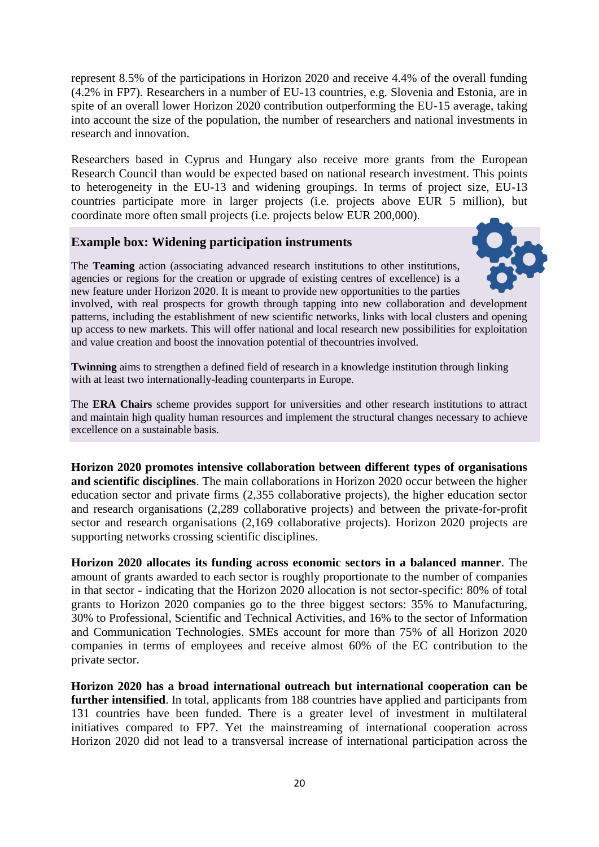represent 8.5% of the participations in Horizon 2020 and receive 4.4% of the overall funding (4.2% in FP7). Researchers in a number of EU-13 countries, e.g. Slovenia and Estonia, are in spite of an overall lower Horizon 2020 contribution outperforming the EU-15 average, taking into account the size of the population, the number of researchers and national investments in research and innovation.

Researchers based in Cyprus and Hungary also receive more grants from the European Research Council than would be expected based on national research investment. This points to heterogeneity in the EU-13 and widening groupings. In terms of project size, EU-13 countries participate more in larger projects (i.e. projects above EUR 5 million), but coordinate more often small projects (i.e. projects below EUR 200,000).

## **Example box: Widening participation instruments**



The **Teaming** action (associating advanced research institutions to other institutions, agencies or regions for the creation or upgrade of existing centres of excellence) is a new feature under Horizon 2020. It is meant to provide new opportunities to the parties

involved, with real prospects for growth through tapping into new collaboration and development patterns, including the establishment of new scientific networks, links with local clusters and opening up access to new markets. This will offer national and local research new possibilities for exploitation and value creation and boost the innovation potential of thecountries involved.

**Twinning** aims to strengthen a defined field of research in a knowledge institution through linking with at least two internationally-leading counterparts in Europe.

The **ERA Chairs** scheme provides support for universities and other research institutions to attract and maintain high quality human resources and implement the structural changes necessary to achieve excellence on a sustainable basis.

**Horizon 2020 promotes intensive collaboration between different types of organisations and scientific disciplines**. The main collaborations in Horizon 2020 occur between the higher education sector and private firms (2,355 collaborative projects), the higher education sector and research organisations (2,289 collaborative projects) and between the private-for-profit sector and research organisations (2,169 collaborative projects). Horizon 2020 projects are supporting networks crossing scientific disciplines.

**Horizon 2020 allocates its funding across economic sectors in a balanced manner**. The amount of grants awarded to each sector is roughly proportionate to the number of companies in that sector - indicating that the Horizon 2020 allocation is not sector-specific: 80% of total grants to Horizon 2020 companies go to the three biggest sectors: 35% to Manufacturing, 30% to Professional, Scientific and Technical Activities, and 16% to the sector of Information and Communication Technologies. SMEs account for more than 75% of all Horizon 2020 companies in terms of employees and receive almost 60% of the EC contribution to the private sector.

**Horizon 2020 has a broad international outreach but international cooperation can be further intensified**. In total, applicants from 188 countries have applied and participants from 131 countries have been funded. There is a greater level of investment in multilateral initiatives compared to FP7. Yet the mainstreaming of international cooperation across Horizon 2020 did not lead to a transversal increase of international participation across the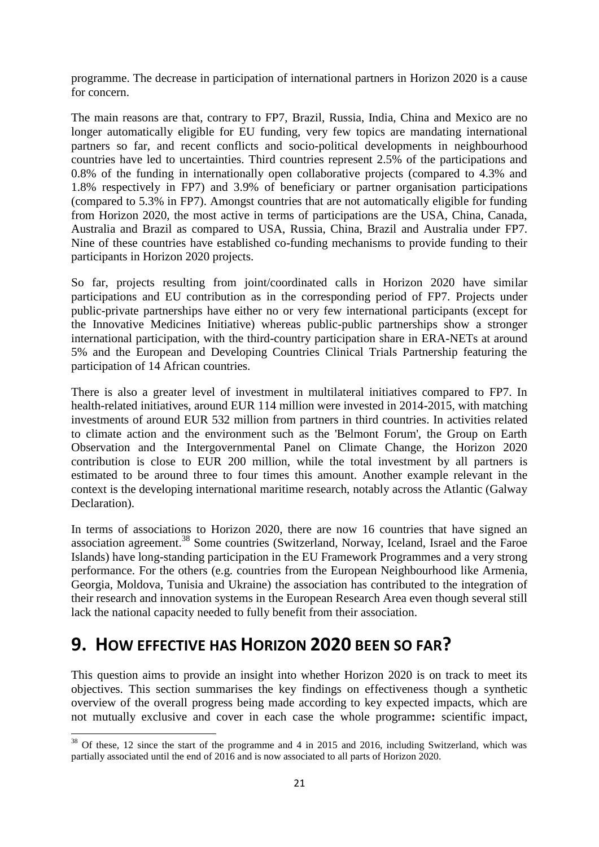programme. The decrease in participation of international partners in Horizon 2020 is a cause for concern.

The main reasons are that, contrary to FP7, Brazil, Russia, India, China and Mexico are no longer automatically eligible for EU funding, very few topics are mandating international partners so far, and recent conflicts and socio-political developments in neighbourhood countries have led to uncertainties. Third countries represent 2.5% of the participations and 0.8% of the funding in internationally open collaborative projects (compared to 4.3% and 1.8% respectively in FP7) and 3.9% of beneficiary or partner organisation participations (compared to 5.3% in FP7). Amongst countries that are not automatically eligible for funding from Horizon 2020, the most active in terms of participations are the USA, China, Canada, Australia and Brazil as compared to USA, Russia, China, Brazil and Australia under FP7. Nine of these countries have established co-funding mechanisms to provide funding to their participants in Horizon 2020 projects.

So far, projects resulting from joint/coordinated calls in Horizon 2020 have similar participations and EU contribution as in the corresponding period of FP7. Projects under public-private partnerships have either no or very few international participants (except for the Innovative Medicines Initiative) whereas public-public partnerships show a stronger international participation, with the third-country participation share in ERA-NETs at around 5% and the European and Developing Countries Clinical Trials Partnership featuring the participation of 14 African countries.

There is also a greater level of investment in multilateral initiatives compared to FP7. In health-related initiatives, around EUR 114 million were invested in 2014-2015, with matching investments of around EUR 532 million from partners in third countries. In activities related to climate action and the environment such as the 'Belmont Forum', the Group on Earth Observation and the Intergovernmental Panel on Climate Change, the Horizon 2020 contribution is close to EUR 200 million, while the total investment by all partners is estimated to be around three to four times this amount. Another example relevant in the context is the developing international maritime research, notably across the Atlantic (Galway Declaration).

In terms of associations to Horizon 2020, there are now 16 countries that have signed an association agreement.<sup>38</sup> Some countries (Switzerland, Norway, Iceland, Israel and the Faroe Islands) have long-standing participation in the EU Framework Programmes and a very strong performance. For the others (e.g. countries from the European Neighbourhood like Armenia, Georgia, Moldova, Tunisia and Ukraine) the association has contributed to the integration of their research and innovation systems in the European Research Area even though several still lack the national capacity needed to fully benefit from their association.

# **9. HOW EFFECTIVE HAS HORIZON 2020 BEEN SO FAR?**

1

This question aims to provide an insight into whether Horizon 2020 is on track to meet its objectives. This section summarises the key findings on effectiveness though a synthetic overview of the overall progress being made according to key expected impacts, which are not mutually exclusive and cover in each case the whole programme**:** scientific impact,

 $38$  Of these, 12 since the start of the programme and 4 in 2015 and 2016, including Switzerland, which was partially associated until the end of 2016 and is now associated to all parts of Horizon 2020.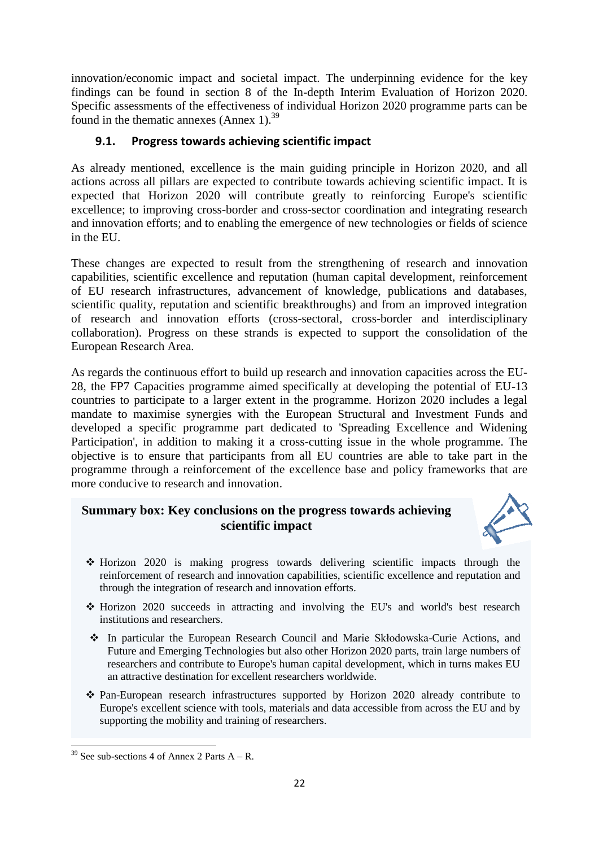innovation/economic impact and societal impact. The underpinning evidence for the key findings can be found in section 8 of the In-depth Interim Evaluation of Horizon 2020. Specific assessments of the effectiveness of individual Horizon 2020 programme parts can be found in the thematic annexes (Annex 1).<sup>39</sup>

## **9.1. Progress towards achieving scientific impact**

As already mentioned, excellence is the main guiding principle in Horizon 2020, and all actions across all pillars are expected to contribute towards achieving scientific impact. It is expected that Horizon 2020 will contribute greatly to reinforcing Europe's scientific excellence; to improving cross-border and cross-sector coordination and integrating research and innovation efforts; and to enabling the emergence of new technologies or fields of science in the EU.

These changes are expected to result from the strengthening of research and innovation capabilities, scientific excellence and reputation (human capital development, reinforcement of EU research infrastructures, advancement of knowledge, publications and databases, scientific quality, reputation and scientific breakthroughs) and from an improved integration of research and innovation efforts (cross-sectoral, cross-border and interdisciplinary collaboration). Progress on these strands is expected to support the consolidation of the European Research Area.

As regards the continuous effort to build up research and innovation capacities across the EU-28, the FP7 Capacities programme aimed specifically at developing the potential of EU-13 countries to participate to a larger extent in the programme. Horizon 2020 includes a legal mandate to maximise synergies with the European Structural and Investment Funds and developed a specific programme part dedicated to 'Spreading Excellence and Widening Participation', in addition to making it a cross-cutting issue in the whole programme. The objective is to ensure that participants from all EU countries are able to take part in the programme through a reinforcement of the excellence base and policy frameworks that are more conducive to research and innovation.

# **Summary box: Key conclusions on the progress towards achieving scientific impact**



- Horizon 2020 is making progress towards delivering scientific impacts through the reinforcement of research and innovation capabilities, scientific excellence and reputation and through the integration of research and innovation efforts.
- \* Horizon 2020 succeeds in attracting and involving the EU's and world's best research institutions and researchers.
- In particular the European Research Council and Marie Skłodowska-Curie Actions, and Future and Emerging Technologies but also other Horizon 2020 parts, train large numbers of researchers and contribute to Europe's human capital development, which in turns makes EU an attractive destination for excellent researchers worldwide.
- Pan-European research infrastructures supported by Horizon 2020 already contribute to Europe's excellent science with tools, materials and data accessible from across the EU and by supporting the mobility and training of researchers.

**<sup>.</sup>** <sup>39</sup> See sub-sections 4 of Annex 2 Parts  $A - R$ .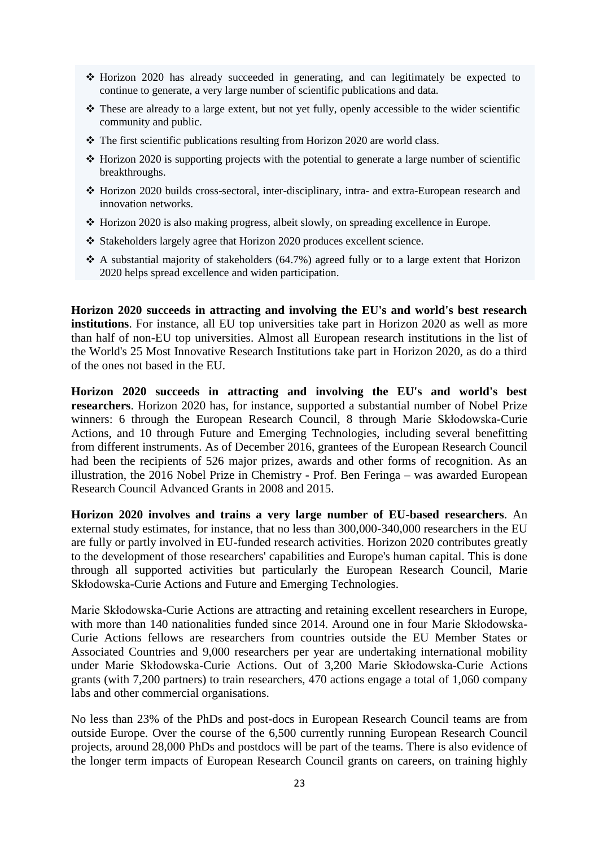- Horizon 2020 has already succeeded in generating, and can legitimately be expected to continue to generate, a very large number of scientific publications and data.
- $\cdot \cdot$  These are already to a large extent, but not yet fully, openly accessible to the wider scientific community and public.
- \* The first scientific publications resulting from Horizon 2020 are world class.
- $\triangle$  Horizon 2020 is supporting projects with the potential to generate a large number of scientific breakthroughs.
- Horizon 2020 builds cross-sectoral, inter-disciplinary, intra- and extra-European research and innovation networks.
- $\div$  Horizon 2020 is also making progress, albeit slowly, on spreading excellence in Europe.
- Stakeholders largely agree that Horizon 2020 produces excellent science.
- $\cdot$  A substantial majority of stakeholders (64.7%) agreed fully or to a large extent that Horizon 2020 helps spread excellence and widen participation.

**Horizon 2020 succeeds in attracting and involving the EU's and world's best research institutions**. For instance, all EU top universities take part in Horizon 2020 as well as more than half of non-EU top universities. Almost all European research institutions in the list of the World's 25 Most Innovative Research Institutions take part in Horizon 2020, as do a third of the ones not based in the EU.

**Horizon 2020 succeeds in attracting and involving the EU's and world's best researchers**. Horizon 2020 has, for instance, supported a substantial number of Nobel Prize winners: 6 through the European Research Council, 8 through Marie Skłodowska-Curie Actions, and 10 through Future and Emerging Technologies, including several benefitting from different instruments. As of December 2016, grantees of the European Research Council had been the recipients of 526 major prizes, awards and other forms of recognition. As an illustration, the 2016 Nobel Prize in Chemistry - Prof. Ben Feringa – was awarded European Research Council Advanced Grants in 2008 and 2015.

**Horizon 2020 involves and trains a very large number of EU-based researchers**. An external study estimates, for instance, that no less than 300,000-340,000 researchers in the EU are fully or partly involved in EU-funded research activities. Horizon 2020 contributes greatly to the development of those researchers' capabilities and Europe's human capital. This is done through all supported activities but particularly the European Research Council, Marie Skłodowska-Curie Actions and Future and Emerging Technologies.

Marie Skłodowska-Curie Actions are attracting and retaining excellent researchers in Europe, with more than 140 nationalities funded since 2014. Around one in four Marie Skłodowska-Curie Actions fellows are researchers from countries outside the EU Member States or Associated Countries and 9,000 researchers per year are undertaking international mobility under Marie Skłodowska-Curie Actions. Out of 3,200 Marie Skłodowska-Curie Actions grants (with 7,200 partners) to train researchers, 470 actions engage a total of 1,060 company labs and other commercial organisations.

No less than 23% of the PhDs and post-docs in European Research Council teams are from outside Europe. Over the course of the 6,500 currently running European Research Council projects, around 28,000 PhDs and postdocs will be part of the teams. There is also evidence of the longer term impacts of European Research Council grants on careers, on training highly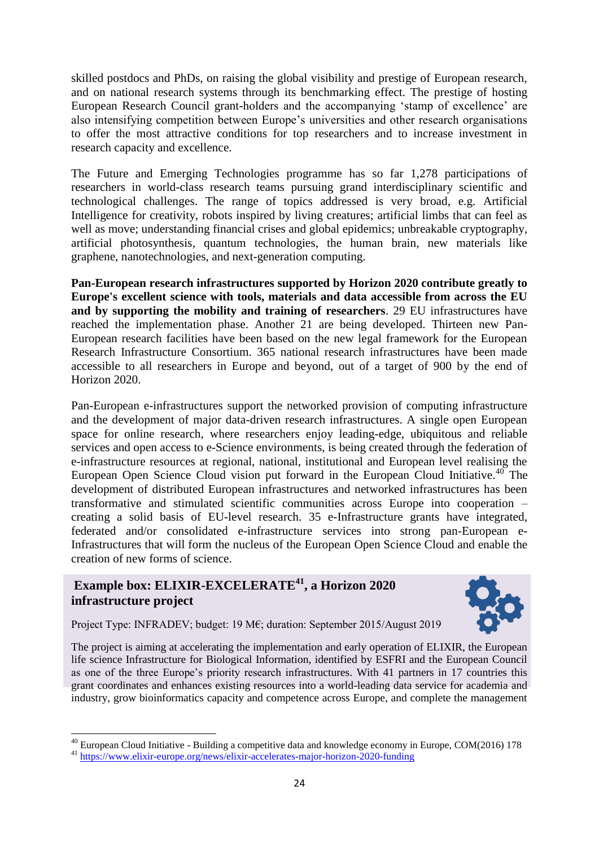skilled postdocs and PhDs, on raising the global visibility and prestige of European research, and on national research systems through its benchmarking effect. The prestige of hosting European Research Council grant-holders and the accompanying 'stamp of excellence' are also intensifying competition between Europe's universities and other research organisations to offer the most attractive conditions for top researchers and to increase investment in research capacity and excellence.

The Future and Emerging Technologies programme has so far 1,278 participations of researchers in world-class research teams pursuing grand interdisciplinary scientific and technological challenges. The range of topics addressed is very broad, e.g. Artificial Intelligence for creativity, robots inspired by living creatures; artificial limbs that can feel as well as move; understanding financial crises and global epidemics; unbreakable cryptography, artificial photosynthesis, quantum technologies, the human brain, new materials like graphene, nanotechnologies, and next-generation computing.

**Pan-European research infrastructures supported by Horizon 2020 contribute greatly to Europe's excellent science with tools, materials and data accessible from across the EU and by supporting the mobility and training of researchers**. 29 EU infrastructures have reached the implementation phase. Another 21 are being developed. Thirteen new Pan-European research facilities have been based on the new legal framework for the European Research Infrastructure Consortium. 365 national research infrastructures have been made accessible to all researchers in Europe and beyond, out of a target of 900 by the end of Horizon 2020.

Pan-European e-infrastructures support the networked provision of computing infrastructure and the development of major data-driven research infrastructures. A single open European space for online research, where researchers enjoy leading-edge, ubiquitous and reliable services and open access to e-Science environments, is being created through the federation of e-infrastructure resources at regional, national, institutional and European level realising the European Open Science Cloud vision put forward in the European Cloud Initiative.<sup>40</sup> The development of distributed European infrastructures and networked infrastructures has been transformative and stimulated scientific communities across Europe into cooperation – creating a solid basis of EU-level research. 35 e-Infrastructure grants have integrated, federated and/or consolidated e-infrastructure services into strong pan-European e-Infrastructures that will form the nucleus of the European Open Science Cloud and enable the creation of new forms of science.

# **Example box: ELIXIR-EXCELERATE<sup>41</sup> , a Horizon 2020 infrastructure project**



Project Type: INFRADEV; budget: 19 M€; duration: September 2015/August 2019

The project is aiming at accelerating the implementation and early operation of ELIXIR, the European life science Infrastructure for Biological Information, identified by ESFRI and the European Council as one of the three Europe's priority research infrastructures. With 41 partners in 17 countries this grant coordinates and enhances existing resources into a world-leading data service for academia and industry, grow bioinformatics capacity and competence across Europe, and complete the management

1

 $^{40}$  European Cloud Initiative - Building a competitive data and knowledge economy in Europe, COM(2016) 178

<sup>41</sup> <https://www.elixir-europe.org/news/elixir-accelerates-major-horizon-2020-funding>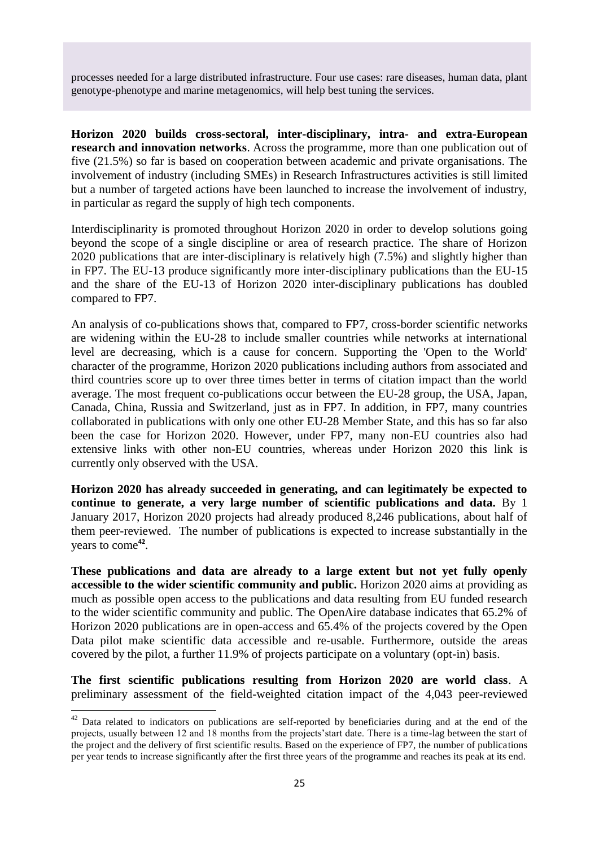processes needed for a large distributed infrastructure. Four use cases: rare diseases, human data, plant genotype-phenotype and marine metagenomics, will help best tuning the services.

**Horizon 2020 builds cross-sectoral, inter-disciplinary, intra- and extra-European research and innovation networks**. Across the programme, more than one publication out of five (21.5%) so far is based on cooperation between academic and private organisations. The involvement of industry (including SMEs) in Research Infrastructures activities is still limited but a number of targeted actions have been launched to increase the involvement of industry, in particular as regard the supply of high tech components.

Interdisciplinarity is promoted throughout Horizon 2020 in order to develop solutions going beyond the scope of a single discipline or area of research practice. The share of Horizon 2020 publications that are inter-disciplinary is relatively high (7.5%) and slightly higher than in FP7. The EU-13 produce significantly more inter-disciplinary publications than the EU-15 and the share of the EU-13 of Horizon 2020 inter-disciplinary publications has doubled compared to FP7.

An analysis of co-publications shows that, compared to FP7, cross-border scientific networks are widening within the EU-28 to include smaller countries while networks at international level are decreasing, which is a cause for concern. Supporting the 'Open to the World' character of the programme, Horizon 2020 publications including authors from associated and third countries score up to over three times better in terms of citation impact than the world average. The most frequent co-publications occur between the EU-28 group, the USA, Japan, Canada, China, Russia and Switzerland, just as in FP7. In addition, in FP7, many countries collaborated in publications with only one other EU-28 Member State, and this has so far also been the case for Horizon 2020. However, under FP7, many non-EU countries also had extensive links with other non-EU countries, whereas under Horizon 2020 this link is currently only observed with the USA.

**Horizon 2020 has already succeeded in generating, and can legitimately be expected to continue to generate, a very large number of scientific publications and data.** By 1 January 2017, Horizon 2020 projects had already produced 8,246 publications, about half of them peer-reviewed. The number of publications is expected to increase substantially in the years to come**<sup>42</sup>** .

**These publications and data are already to a large extent but not yet fully openly accessible to the wider scientific community and public.** Horizon 2020 aims at providing as much as possible open access to the publications and data resulting from EU funded research to the wider scientific community and public. The OpenAire database indicates that 65.2% of Horizon 2020 publications are in open-access and 65.4% of the projects covered by the Open Data pilot make scientific data accessible and re-usable. Furthermore, outside the areas covered by the pilot, a further 11.9% of projects participate on a voluntary (opt-in) basis.

**The first scientific publications resulting from Horizon 2020 are world class**. A preliminary assessment of the field-weighted citation impact of the 4,043 peer-reviewed

**.** 

 $42$  Data related to indicators on publications are self-reported by beneficiaries during and at the end of the projects, usually between 12 and 18 months from the projects'start date. There is a time-lag between the start of the project and the delivery of first scientific results. Based on the experience of FP7, the number of publications per year tends to increase significantly after the first three years of the programme and reaches its peak at its end.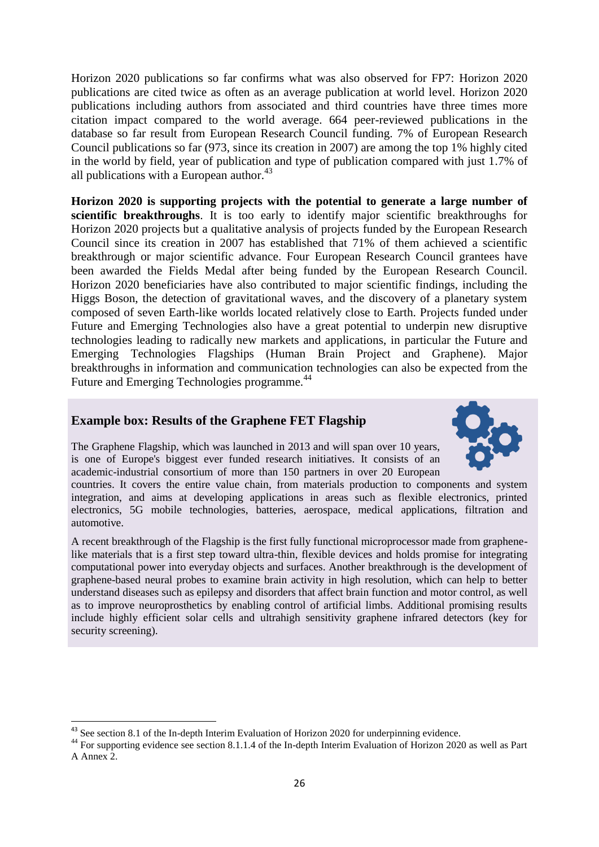Horizon 2020 publications so far confirms what was also observed for FP7: Horizon 2020 publications are cited twice as often as an average publication at world level. Horizon 2020 publications including authors from associated and third countries have three times more citation impact compared to the world average. 664 peer-reviewed publications in the database so far result from European Research Council funding. 7% of European Research Council publications so far (973, since its creation in 2007) are among the top 1% highly cited in the world by field, year of publication and type of publication compared with just 1.7% of all publications with a European author.<sup>43</sup>

**Horizon 2020 is supporting projects with the potential to generate a large number of scientific breakthroughs**. It is too early to identify major scientific breakthroughs for Horizon 2020 projects but a qualitative analysis of projects funded by the European Research Council since its creation in 2007 has established that 71% of them achieved a scientific breakthrough or major scientific advance. Four European Research Council grantees have been awarded the Fields Medal after being funded by the European Research Council. Horizon 2020 beneficiaries have also contributed to major scientific findings, including the Higgs Boson, the detection of gravitational waves, and the discovery of a planetary system composed of seven Earth-like worlds located relatively close to Earth. Projects funded under Future and Emerging Technologies also have a great potential to underpin new disruptive technologies leading to radically new markets and applications, in particular the Future and Emerging Technologies Flagships (Human Brain Project and Graphene). Major breakthroughs in information and communication technologies can also be expected from the Future and Emerging Technologies programme.<sup>44</sup>

#### **Example box: Results of the Graphene FET Flagship**

The Graphene Flagship, which was launched in 2013 and will span over 10 years, is one of Europe's biggest ever funded research initiatives. It consists of an academic-industrial consortium of more than 150 partners in over 20 European

countries. It covers the entire value chain, from materials production to components and system integration, and aims at developing applications in areas such as flexible electronics, printed electronics, 5G mobile technologies, batteries, aerospace, medical applications, filtration and automotive.

A recent breakthrough of the Flagship is the first fully functional microprocessor made from graphenelike materials that is a first step toward ultra-thin, flexible devices and holds promise for integrating computational power into everyday objects and surfaces. Another breakthrough is the development of graphene-based neural probes to examine brain activity in high resolution, which can help to better understand diseases such as epilepsy and disorders that affect brain function and motor control, as well as to improve neuroprosthetics by enabling control of artificial limbs. Additional promising results include highly efficient solar cells and ultrahigh sensitivity graphene infrared detectors (key for security screening).

**<sup>.</sup>** <sup>43</sup> See section 8.1 of the In-depth Interim Evaluation of Horizon 2020 for underpinning evidence.

<sup>&</sup>lt;sup>44</sup> For supporting evidence see section 8.1.1.4 of the In-depth Interim Evaluation of Horizon 2020 as well as Part A Annex 2.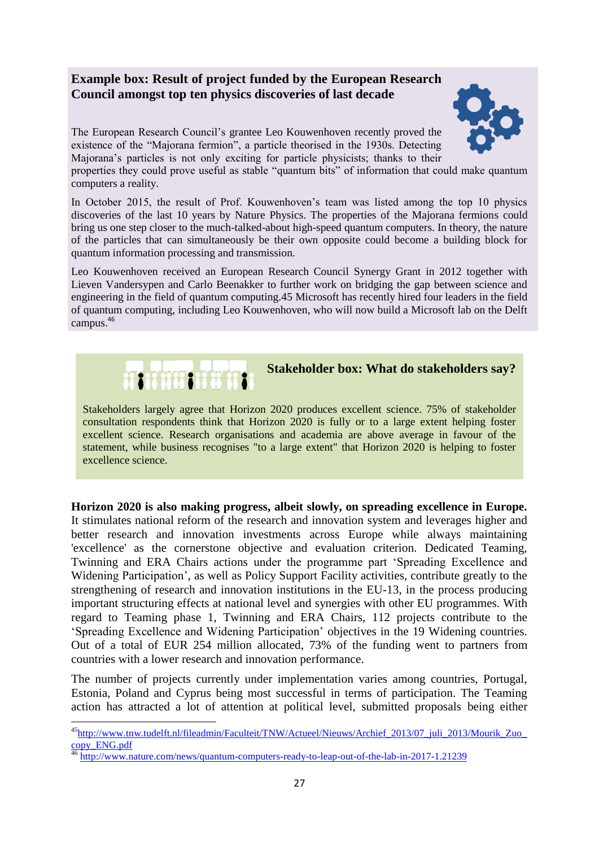# **Example box: Result of project funded by the European Research Council amongst top ten physics discoveries of last decade**

The European Research Council's grantee Leo Kouwenhoven recently proved the existence of the "Majorana fermion", a particle theorised in the 1930s. Detecting Majorana's particles is not only exciting for particle physicists; thanks to their

properties they could prove useful as stable "quantum bits" of information that could make quantum computers a reality.

In October 2015, the result of Prof. Kouwenhoven's team was listed among the top 10 physics discoveries of the last 10 years by Nature Physics. The properties of the Majorana fermions could bring us one step closer to the much-talked-about high-speed quantum computers. In theory, the nature of the particles that can simultaneously be their own opposite could become a building block for quantum information processing and transmission.

Leo Kouwenhoven received an European Research Council Synergy Grant in 2012 together with Lieven Vandersypen and Carlo Beenakker to further work on bridging the gap between science and engineering in the field of quantum computing.45 Microsoft has recently hired four leaders in the field of quantum computing, including Leo Kouwenhoven, who will now build a Microsoft lab on the Delft campus. 46



 $\overline{a}$ 

# **Stakeholder box: What do stakeholders say?**

Stakeholders largely agree that Horizon 2020 produces excellent science. 75% of stakeholder consultation respondents think that Horizon 2020 is fully or to a large extent helping foster excellent science. Research organisations and academia are above average in favour of the statement, while business recognises "to a large extent" that Horizon 2020 is helping to foster excellence science.

**Horizon 2020 is also making progress, albeit slowly, on spreading excellence in Europe.** It stimulates national reform of the research and innovation system and leverages higher and better research and innovation investments across Europe while always maintaining 'excellence' as the cornerstone objective and evaluation criterion. Dedicated Teaming, Twinning and ERA Chairs actions under the programme part 'Spreading Excellence and Widening Participation', as well as Policy Support Facility activities, contribute greatly to the strengthening of research and innovation institutions in the EU-13, in the process producing important structuring effects at national level and synergies with other EU programmes. With regard to Teaming phase 1, Twinning and ERA Chairs, 112 projects contribute to the 'Spreading Excellence and Widening Participation' objectives in the 19 Widening countries. Out of a total of EUR 254 million allocated, 73% of the funding went to partners from countries with a lower research and innovation performance.

The number of projects currently under implementation varies among countries, Portugal, Estonia, Poland and Cyprus being most successful in terms of participation. The Teaming action has attracted a lot of attention at political level, submitted proposals being either



<sup>45</sup>[http://www.tnw.tudelft.nl/fileadmin/Faculteit/TNW/Actueel/Nieuws/Archief\\_2013/07\\_juli\\_2013/Mourik\\_Zuo\\_](http://www.tnw.tudelft.nl/fileadmin/Faculteit/TNW/Actueel/Nieuws/Archief_2013/07_juli_2013/Mourik_Zuo_copy_ENG.pdf) [copy\\_ENG.pdf](http://www.tnw.tudelft.nl/fileadmin/Faculteit/TNW/Actueel/Nieuws/Archief_2013/07_juli_2013/Mourik_Zuo_copy_ENG.pdf)

<sup>46</sup> <http://www.nature.com/news/quantum-computers-ready-to-leap-out-of-the-lab-in-2017-1.21239>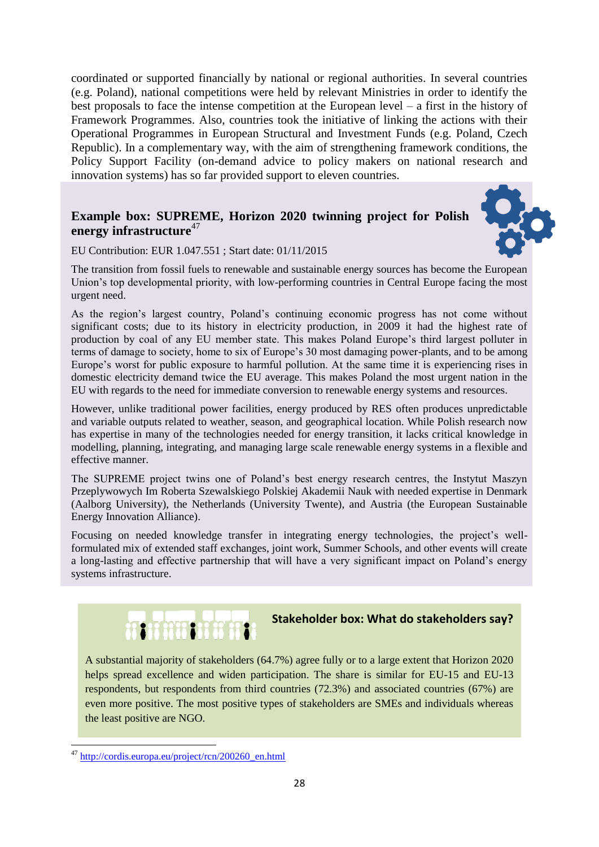coordinated or supported financially by national or regional authorities. In several countries (e.g. Poland), national competitions were held by relevant Ministries in order to identify the best proposals to face the intense competition at the European level – a first in the history of Framework Programmes. Also, countries took the initiative of linking the actions with their Operational Programmes in European Structural and Investment Funds (e.g. Poland, Czech Republic). In a complementary way, with the aim of strengthening framework conditions, the Policy Support Facility (on-demand advice to policy makers on national research and innovation systems) has so far provided support to eleven countries.

# **Example box: SUPREME, Horizon 2020 twinning project for Polish energy infrastructure**<sup>47</sup>



EU Contribution: EUR 1.047.551 ; Start date: 01/11/2015

The transition from fossil fuels to renewable and sustainable energy sources has become the European Union's top developmental priority, with low-performing countries in Central Europe facing the most urgent need.

As the region's largest country, Poland's continuing economic progress has not come without significant costs; due to its history in electricity production, in 2009 it had the highest rate of production by coal of any EU member state. This makes Poland Europe's third largest polluter in terms of damage to society, home to six of Europe's 30 most damaging power-plants, and to be among Europe's worst for public exposure to harmful pollution. At the same time it is experiencing rises in domestic electricity demand twice the EU average. This makes Poland the most urgent nation in the EU with regards to the need for immediate conversion to renewable energy systems and resources.

However, unlike traditional power facilities, energy produced by RES often produces unpredictable and variable outputs related to weather, season, and geographical location. While Polish research now has expertise in many of the technologies needed for energy transition, it lacks critical knowledge in modelling, planning, integrating, and managing large scale renewable energy systems in a flexible and effective manner.

The SUPREME project twins one of Poland's best energy research centres, the Instytut Maszyn Przeplywowych Im Roberta Szewalskiego Polskiej Akademii Nauk with needed expertise in Denmark (Aalborg University), the Netherlands (University Twente), and Austria (the European Sustainable Energy Innovation Alliance).

Focusing on needed knowledge transfer in integrating energy technologies, the project's wellformulated mix of extended staff exchanges, joint work, Summer Schools, and other events will create a long-lasting and effective partnership that will have a very significant impact on Poland's energy systems infrastructure.



# **BOOK Stakeholder box: What do stakeholders say?**

A substantial majority of stakeholders (64.7%) agree fully or to a large extent that Horizon 2020 helps spread excellence and widen participation. The share is similar for EU-15 and EU-13 respondents, but respondents from third countries (72.3%) and associated countries (67%) are even more positive. The most positive types of stakeholders are SMEs and individuals whereas the least positive are NGO.

**<sup>.</sup>** <sup>47</sup> [http://cordis.europa.eu/project/rcn/200260\\_en.html](http://cordis.europa.eu/project/rcn/200260_en.html)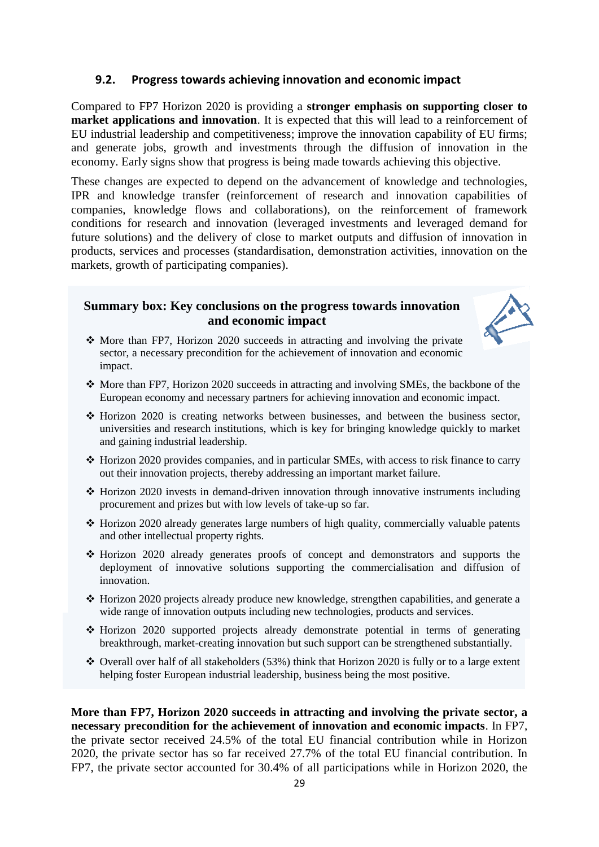#### **9.2. Progress towards achieving innovation and economic impact**

Compared to FP7 Horizon 2020 is providing a **stronger emphasis on supporting closer to market applications and innovation**. It is expected that this will lead to a reinforcement of EU industrial leadership and competitiveness; improve the innovation capability of EU firms; and generate jobs, growth and investments through the diffusion of innovation in the economy. Early signs show that progress is being made towards achieving this objective.

These changes are expected to depend on the advancement of knowledge and technologies, IPR and knowledge transfer (reinforcement of research and innovation capabilities of companies, knowledge flows and collaborations), on the reinforcement of framework conditions for research and innovation (leveraged investments and leveraged demand for future solutions) and the delivery of close to market outputs and diffusion of innovation in products, services and processes (standardisation, demonstration activities, innovation on the markets, growth of participating companies).

#### **Summary box: Key conclusions on the progress towards innovation and economic impact**



- $\triangle$  More than FP7, Horizon 2020 succeeds in attracting and involving the private sector, a necessary precondition for the achievement of innovation and economic impact.
- $\cdot$  More than FP7, Horizon 2020 succeeds in attracting and involving SMEs, the backbone of the European economy and necessary partners for achieving innovation and economic impact.
- Horizon 2020 is creating networks between businesses, and between the business sector, universities and research institutions, which is key for bringing knowledge quickly to market and gaining industrial leadership.
- Horizon 2020 provides companies, and in particular SMEs, with access to risk finance to carry out their innovation projects, thereby addressing an important market failure.
- $\cdot$  Horizon 2020 invests in demand-driven innovation through innovative instruments including procurement and prizes but with low levels of take-up so far.
- Horizon 2020 already generates large numbers of high quality, commercially valuable patents and other intellectual property rights.
- Horizon 2020 already generates proofs of concept and demonstrators and supports the deployment of innovative solutions supporting the commercialisation and diffusion of innovation.
- Horizon 2020 projects already produce new knowledge, strengthen capabilities, and generate a wide range of innovation outputs including new technologies, products and services.
- Horizon 2020 supported projects already demonstrate potential in terms of generating breakthrough, market-creating innovation but such support can be strengthened substantially.
- $\div$  Overall over half of all stakeholders (53%) think that Horizon 2020 is fully or to a large extent helping foster European industrial leadership, business being the most positive.

**More than FP7, Horizon 2020 succeeds in attracting and involving the private sector, a necessary precondition for the achievement of innovation and economic impacts**. In FP7, the private sector received 24.5% of the total EU financial contribution while in Horizon 2020, the private sector has so far received 27.7% of the total EU financial contribution. In FP7, the private sector accounted for 30.4% of all participations while in Horizon 2020, the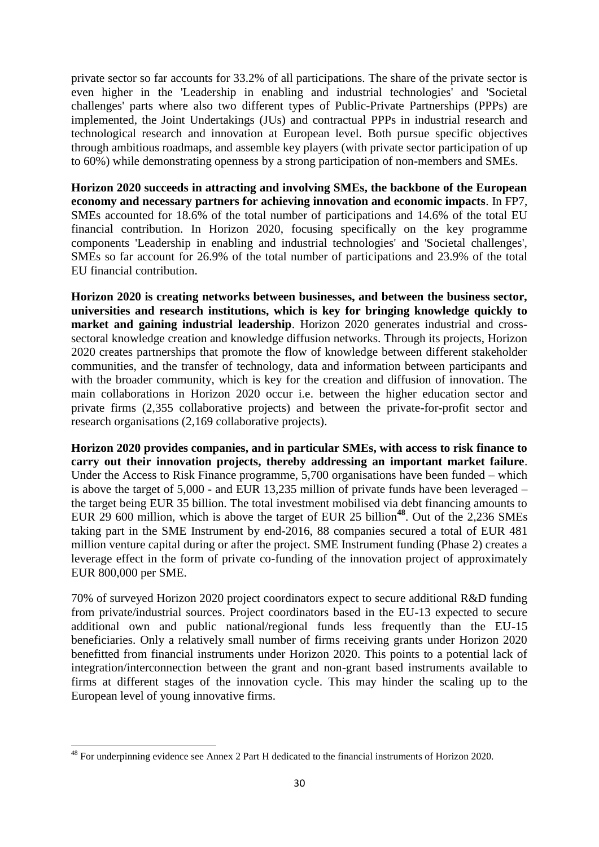private sector so far accounts for 33.2% of all participations. The share of the private sector is even higher in the 'Leadership in enabling and industrial technologies' and 'Societal challenges' parts where also two different types of Public-Private Partnerships (PPPs) are implemented, the Joint Undertakings (JUs) and contractual PPPs in industrial research and technological research and innovation at European level. Both pursue specific objectives through ambitious roadmaps, and assemble key players (with private sector participation of up to 60%) while demonstrating openness by a strong participation of non-members and SMEs.

**Horizon 2020 succeeds in attracting and involving SMEs, the backbone of the European economy and necessary partners for achieving innovation and economic impacts**. In FP7, SMEs accounted for 18.6% of the total number of participations and 14.6% of the total EU financial contribution. In Horizon 2020, focusing specifically on the key programme components 'Leadership in enabling and industrial technologies' and 'Societal challenges', SMEs so far account for 26.9% of the total number of participations and 23.9% of the total EU financial contribution.

**Horizon 2020 is creating networks between businesses, and between the business sector, universities and research institutions, which is key for bringing knowledge quickly to market and gaining industrial leadership**. Horizon 2020 generates industrial and crosssectoral knowledge creation and knowledge diffusion networks. Through its projects, Horizon 2020 creates partnerships that promote the flow of knowledge between different stakeholder communities, and the transfer of technology, data and information between participants and with the broader community, which is key for the creation and diffusion of innovation. The main collaborations in Horizon 2020 occur i.e. between the higher education sector and private firms (2,355 collaborative projects) and between the private-for-profit sector and research organisations (2,169 collaborative projects).

**Horizon 2020 provides companies, and in particular SMEs, with access to risk finance to carry out their innovation projects, thereby addressing an important market failure**. Under the Access to Risk Finance programme, 5,700 organisations have been funded – which is above the target of 5,000 - and EUR 13,235 million of private funds have been leveraged – the target being EUR 35 billion. The total investment mobilised via debt financing amounts to EUR 29 600 million, which is above the target of EUR 25 billion<sup>48</sup>. Out of the 2,236 SMEs taking part in the SME Instrument by end-2016, 88 companies secured a total of EUR 481 million venture capital during or after the project. SME Instrument funding (Phase 2) creates a leverage effect in the form of private co-funding of the innovation project of approximately EUR 800,000 per SME.

70% of surveyed Horizon 2020 project coordinators expect to secure additional R&D funding from private/industrial sources. Project coordinators based in the EU-13 expected to secure additional own and public national/regional funds less frequently than the EU-15 beneficiaries. Only a relatively small number of firms receiving grants under Horizon 2020 benefitted from financial instruments under Horizon 2020. This points to a potential lack of integration/interconnection between the grant and non-grant based instruments available to firms at different stages of the innovation cycle. This may hinder the scaling up to the European level of young innovative firms.

**<sup>.</sup>**  $48$  For underpinning evidence see Annex 2 Part H dedicated to the financial instruments of Horizon 2020.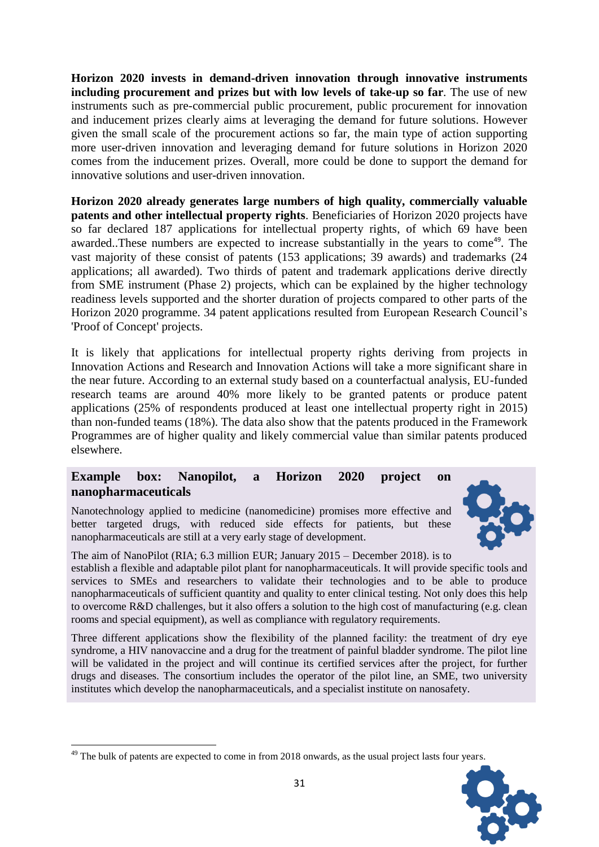**Horizon 2020 invests in demand-driven innovation through innovative instruments including procurement and prizes but with low levels of take-up so far**. The use of new instruments such as pre-commercial public procurement, public procurement for innovation and inducement prizes clearly aims at leveraging the demand for future solutions. However given the small scale of the procurement actions so far, the main type of action supporting more user-driven innovation and leveraging demand for future solutions in Horizon 2020 comes from the inducement prizes. Overall, more could be done to support the demand for innovative solutions and user-driven innovation.

**Horizon 2020 already generates large numbers of high quality, commercially valuable patents and other intellectual property rights**. Beneficiaries of Horizon 2020 projects have so far declared 187 applications for intellectual property rights, of which 69 have been awarded. These numbers are expected to increase substantially in the years to come<sup>49</sup>. The vast majority of these consist of patents (153 applications; 39 awards) and trademarks (24 applications; all awarded). Two thirds of patent and trademark applications derive directly from SME instrument (Phase 2) projects, which can be explained by the higher technology readiness levels supported and the shorter duration of projects compared to other parts of the Horizon 2020 programme. 34 patent applications resulted from European Research Council's 'Proof of Concept' projects.

It is likely that applications for intellectual property rights deriving from projects in Innovation Actions and Research and Innovation Actions will take a more significant share in the near future. According to an external study based on a counterfactual analysis, EU-funded research teams are around 40% more likely to be granted patents or produce patent applications (25% of respondents produced at least one intellectual property right in 2015) than non-funded teams (18%). The data also show that the patents produced in the Framework Programmes are of higher quality and likely commercial value than similar patents produced elsewhere.

## **Example box: Nanopilot, a Horizon 2020 project on nanopharmaceuticals**

Nanotechnology applied to medicine (nanomedicine) promises more effective and better targeted drugs, with reduced side effects for patients, but these nanopharmaceuticals are still at a very early stage of development.



The aim of NanoPilot (RIA; 6.3 million EUR; January 2015 – December 2018). is to establish a flexible and adaptable pilot plant for nanopharmaceuticals. It will provide specific tools and services to SMEs and researchers to validate their technologies and to be able to produce nanopharmaceuticals of sufficient quantity and quality to enter clinical testing. Not only does this help to overcome R&D challenges, but it also offers a solution to the high cost of manufacturing (e.g. clean rooms and special equipment), as well as compliance with regulatory requirements.

Three different applications show the flexibility of the planned facility: the treatment of dry eye syndrome, a HIV nanovaccine and a drug for the treatment of painful bladder syndrome. The pilot line will be validated in the project and will continue its certified services after the project, for further drugs and diseases. The consortium includes the operator of the pilot line, an SME, two university institutes which develop the nanopharmaceuticals, and a specialist institute on nanosafety.

**<sup>.</sup>**  $49$  The bulk of patents are expected to come in from 2018 onwards, as the usual project lasts four years.

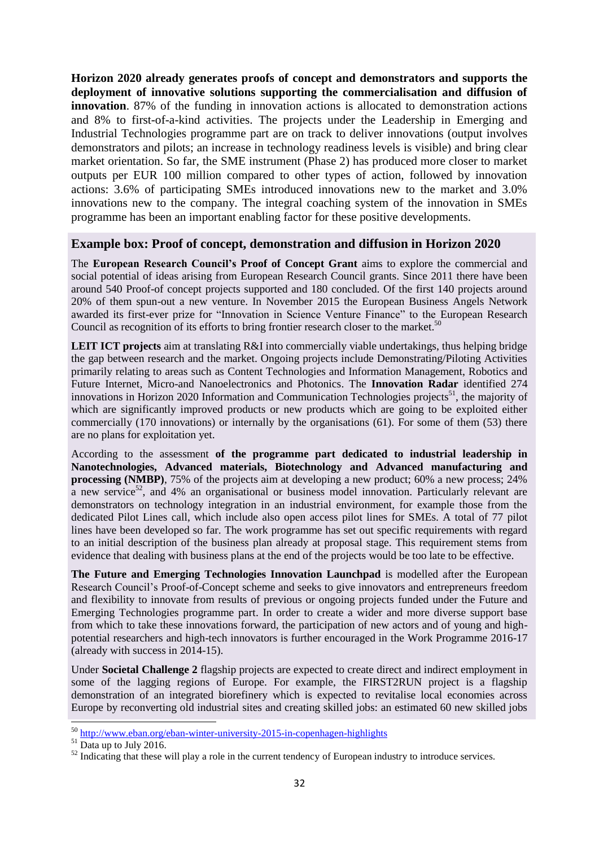**Horizon 2020 already generates proofs of concept and demonstrators and supports the deployment of innovative solutions supporting the commercialisation and diffusion of innovation**. 87% of the funding in innovation actions is allocated to demonstration actions and 8% to first-of-a-kind activities. The projects under the Leadership in Emerging and Industrial Technologies programme part are on track to deliver innovations (output involves demonstrators and pilots; an increase in technology readiness levels is visible) and bring clear market orientation. So far, the SME instrument (Phase 2) has produced more closer to market outputs per EUR 100 million compared to other types of action, followed by innovation actions: 3.6% of participating SMEs introduced innovations new to the market and 3.0% innovations new to the company. The integral coaching system of the innovation in SMEs programme has been an important enabling factor for these positive developments.

#### **Example box: Proof of concept, demonstration and diffusion in Horizon 2020**

The **European Research Council's Proof of Concept Grant** aims to explore the commercial and social potential of ideas arising from European Research Council grants. Since 2011 there have been around 540 Proof-of concept projects supported and 180 concluded. Of the first 140 projects around 20% of them spun-out a new venture. In November 2015 the European Business Angels Network awarded its first-ever prize for "Innovation in Science Venture Finance" to the European Research Council as recognition of its efforts to bring frontier research closer to the market. $50$ 

**LEIT ICT projects** aim at translating R&I into commercially viable undertakings, thus helping bridge the gap between research and the market. Ongoing projects include Demonstrating/Piloting Activities primarily relating to areas such as Content Technologies and Information Management, Robotics and Future Internet, Micro-and Nanoelectronics and Photonics. The **Innovation Radar** identified 274 innovations in Horizon 2020 Information and Communication Technologies projects<sup>51</sup>, the majority of which are significantly improved products or new products which are going to be exploited either commercially (170 innovations) or internally by the organisations (61). For some of them (53) there are no plans for exploitation yet.

According to the assessment **of the programme part dedicated to industrial leadership in Nanotechnologies, Advanced materials, Biotechnology and Advanced manufacturing and processing (NMBP)**, 75% of the projects aim at developing a new product; 60% a new process; 24% a new service<sup>52</sup>, and 4% an organisational or business model innovation. Particularly relevant are demonstrators on technology integration in an industrial environment, for example those from the dedicated Pilot Lines call, which include also open access pilot lines for SMEs. A total of 77 pilot lines have been developed so far. The work programme has set out specific requirements with regard to an initial description of the business plan already at proposal stage. This requirement stems from evidence that dealing with business plans at the end of the projects would be too late to be effective.

**The Future and Emerging Technologies Innovation Launchpad** is modelled after the European Research Council's Proof-of-Concept scheme and seeks to give innovators and entrepreneurs freedom and flexibility to innovate from results of previous or ongoing projects funded under the Future and Emerging Technologies programme part. In order to create a wider and more diverse support base from which to take these innovations forward, the participation of new actors and of young and highpotential researchers and high-tech innovators is further encouraged in the Work Programme 2016-17 (already with success in 2014-15).

Under **Societal Challenge 2** flagship projects are expected to create direct and indirect employment in some of the lagging regions of Europe. For example, the FIRST2RUN project is a flagship demonstration of an integrated biorefinery which is expected to revitalise local economies across Europe by reconverting old industrial sites and creating skilled jobs: an estimated 60 new skilled jobs

1

<sup>&</sup>lt;sup>50</sup> <http://www.eban.org/eban-winter-university-2015-in-copenhagen-highlights>

<sup>&</sup>lt;sup>51</sup> Data up to July 2016.

 $52$  Indicating that these will play a role in the current tendency of European industry to introduce services.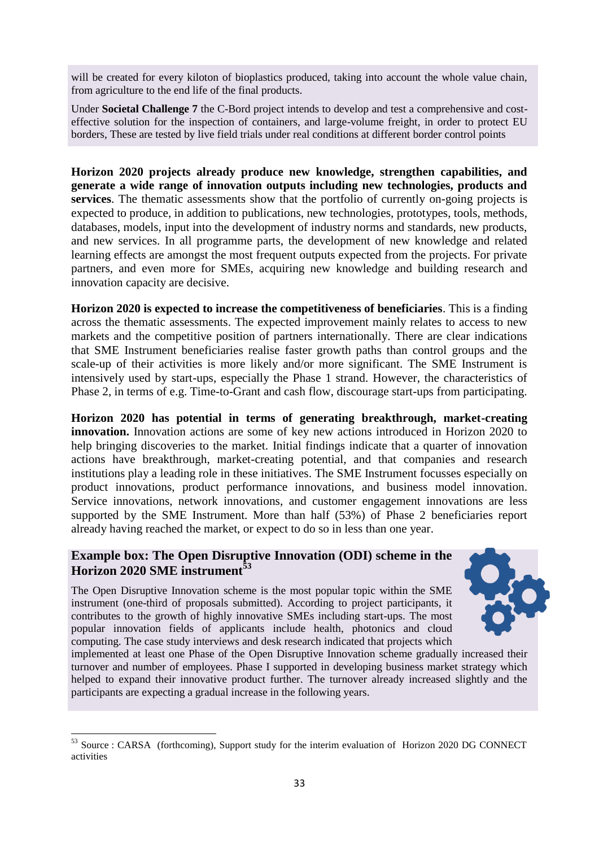will be created for every kiloton of bioplastics produced, taking into account the whole value chain, from agriculture to the end life of the final products.

Under **Societal Challenge 7** the C-Bord project intends to develop and test a comprehensive and costeffective solution for the inspection of containers, and large-volume freight, in order to protect EU borders, These are tested by live field trials under real conditions at different border control points

**Horizon 2020 projects already produce new knowledge, strengthen capabilities, and generate a wide range of innovation outputs including new technologies, products and services**. The thematic assessments show that the portfolio of currently on-going projects is expected to produce, in addition to publications, new technologies, prototypes, tools, methods, databases, models, input into the development of industry norms and standards, new products, and new services. In all programme parts, the development of new knowledge and related learning effects are amongst the most frequent outputs expected from the projects. For private partners, and even more for SMEs, acquiring new knowledge and building research and innovation capacity are decisive.

**Horizon 2020 is expected to increase the competitiveness of beneficiaries**. This is a finding across the thematic assessments. The expected improvement mainly relates to access to new markets and the competitive position of partners internationally. There are clear indications that SME Instrument beneficiaries realise faster growth paths than control groups and the scale-up of their activities is more likely and/or more significant. The SME Instrument is intensively used by start-ups, especially the Phase 1 strand. However, the characteristics of Phase 2, in terms of e.g. Time-to-Grant and cash flow, discourage start-ups from participating.

**Horizon 2020 has potential in terms of generating breakthrough, market-creating innovation.** Innovation actions are some of key new actions introduced in Horizon 2020 to help bringing discoveries to the market. Initial findings indicate that a quarter of innovation actions have breakthrough, market-creating potential, and that companies and research institutions play a leading role in these initiatives. The SME Instrument focusses especially on product innovations, product performance innovations, and business model innovation. Service innovations, network innovations, and customer engagement innovations are less supported by the SME Instrument. More than half (53%) of Phase 2 beneficiaries report already having reached the market, or expect to do so in less than one year.

## **Example box: The Open Disruptive Innovation (ODI) scheme in the Horizon 2020 SME instrument<sup>53</sup>**

The Open Disruptive Innovation scheme is the most popular topic within the SME instrument (one-third of proposals submitted). According to project participants, it contributes to the growth of highly innovative SMEs including start-ups. The most popular innovation fields of applicants include health, photonics and cloud computing. The case study interviews and desk research indicated that projects which

1



implemented at least one Phase of the Open Disruptive Innovation scheme gradually increased their turnover and number of employees. Phase I supported in developing business market strategy which helped to expand their innovative product further. The turnover already increased slightly and the participants are expecting a gradual increase in the following years.

<sup>&</sup>lt;sup>53</sup> Source : CARSA (forthcoming), Support study for the interim evaluation of Horizon 2020 DG CONNECT activities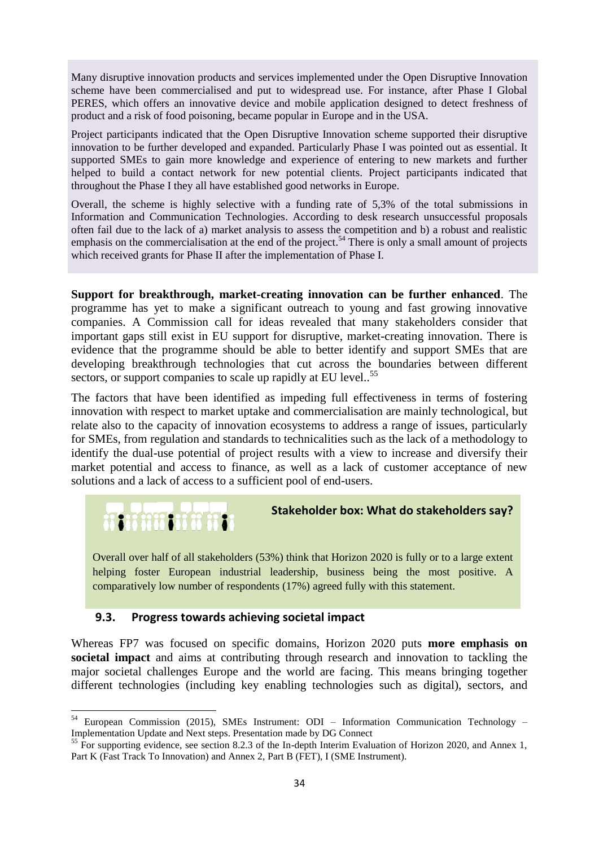Many disruptive innovation products and services implemented under the Open Disruptive Innovation scheme have been commercialised and put to widespread use. For instance, after Phase I Global PERES, which offers an innovative device and mobile application designed to detect freshness of product and a risk of food poisoning, became popular in Europe and in the USA.

Project participants indicated that the Open Disruptive Innovation scheme supported their disruptive innovation to be further developed and expanded. Particularly Phase I was pointed out as essential. It supported SMEs to gain more knowledge and experience of entering to new markets and further helped to build a contact network for new potential clients. Project participants indicated that throughout the Phase I they all have established good networks in Europe.

Overall, the scheme is highly selective with a funding rate of 5,3% of the total submissions in Information and Communication Technologies. According to desk research unsuccessful proposals often fail due to the lack of a) market analysis to assess the competition and b) a robust and realistic emphasis on the commercialisation at the end of the project.<sup>54</sup> There is only a small amount of projects which received grants for Phase II after the implementation of Phase I.

**Support for breakthrough, market-creating innovation can be further enhanced**. The programme has yet to make a significant outreach to young and fast growing innovative companies. A Commission call for ideas revealed that many stakeholders consider that important gaps still exist in EU support for disruptive, market-creating innovation. There is evidence that the programme should be able to better identify and support SMEs that are developing breakthrough technologies that cut across the boundaries between different sectors, or support companies to scale up rapidly at EU level..<sup>55</sup>

The factors that have been identified as impeding full effectiveness in terms of fostering innovation with respect to market uptake and commercialisation are mainly technological, but relate also to the capacity of innovation ecosystems to address a range of issues, particularly for SMEs, from regulation and standards to technicalities such as the lack of a methodology to identify the dual-use potential of project results with a view to increase and diversify their market potential and access to finance, as well as a lack of customer acceptance of new solutions and a lack of access to a sufficient pool of end-users.



## **Stakeholder box: What do stakeholders say?**

Overall over half of all stakeholders (53%) think that Horizon 2020 is fully or to a large extent helping foster European industrial leadership, business being the most positive. A comparatively low number of respondents (17%) agreed fully with this statement.

## **9.3. Progress towards achieving societal impact**

Whereas FP7 was focused on specific domains, Horizon 2020 puts **more emphasis on societal impact** and aims at contributing through research and innovation to tackling the major societal challenges Europe and the world are facing. This means bringing together different technologies (including key enabling technologies such as digital), sectors, and

**<sup>.</sup>** <sup>54</sup> European Commission (2015), SMEs Instrument: ODI – Information Communication Technology – Implementation Update and Next steps. Presentation made by DG Connect

<sup>&</sup>lt;sup>55</sup> For supporting evidence, see section 8.2.3 of the In-depth Interim Evaluation of Horizon 2020, and Annex 1, Part K (Fast Track To Innovation) and Annex 2, Part B (FET), I (SME Instrument).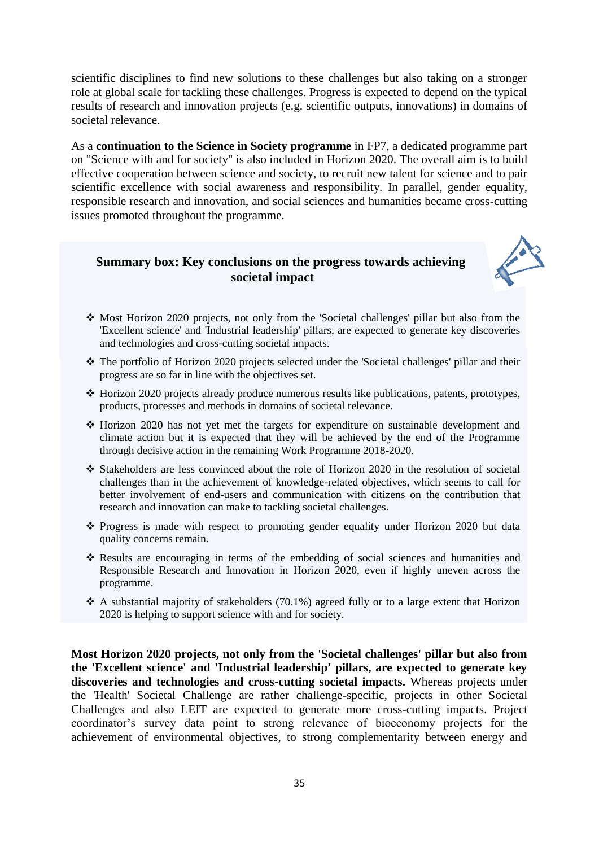scientific disciplines to find new solutions to these challenges but also taking on a stronger role at global scale for tackling these challenges. Progress is expected to depend on the typical results of research and innovation projects (e.g. scientific outputs, innovations) in domains of societal relevance.

As a **continuation to the Science in Society programme** in FP7, a dedicated programme part on "Science with and for society" is also included in Horizon 2020. The overall aim is to build effective cooperation between science and society, to recruit new talent for science and to pair scientific excellence with social awareness and responsibility. In parallel, gender equality, responsible research and innovation, and social sciences and humanities became cross-cutting issues promoted throughout the programme.

## **Summary box: Key conclusions on the progress towards achieving societal impact**



- Most Horizon 2020 projects, not only from the 'Societal challenges' pillar but also from the 'Excellent science' and 'Industrial leadership' pillars, are expected to generate key discoveries and technologies and cross-cutting societal impacts.
- The portfolio of Horizon 2020 projects selected under the 'Societal challenges' pillar and their progress are so far in line with the objectives set.
- Horizon 2020 projects already produce numerous results like publications, patents, prototypes, products, processes and methods in domains of societal relevance.
- $\cdot$  Horizon 2020 has not vet met the targets for expenditure on sustainable development and climate action but it is expected that they will be achieved by the end of the Programme through decisive action in the remaining Work Programme 2018-2020.
- Stakeholders are less convinced about the role of Horizon 2020 in the resolution of societal challenges than in the achievement of knowledge-related objectives, which seems to call for better involvement of end-users and communication with citizens on the contribution that research and innovation can make to tackling societal challenges.
- $\hat{\cdot}$  Progress is made with respect to promoting gender equality under Horizon 2020 but data quality concerns remain.
- Results are encouraging in terms of the embedding of social sciences and humanities and Responsible Research and Innovation in Horizon 2020, even if highly uneven across the programme.
- $\triangle$  A substantial majority of stakeholders (70.1%) agreed fully or to a large extent that Horizon 2020 is helping to support science with and for society.

**Most Horizon 2020 projects, not only from the 'Societal challenges' pillar but also from the 'Excellent science' and 'Industrial leadership' pillars, are expected to generate key discoveries and technologies and cross-cutting societal impacts.** Whereas projects under the 'Health' Societal Challenge are rather challenge-specific, projects in other Societal Challenges and also LEIT are expected to generate more cross-cutting impacts. Project coordinator's survey data point to strong relevance of bioeconomy projects for the achievement of environmental objectives, to strong complementarity between energy and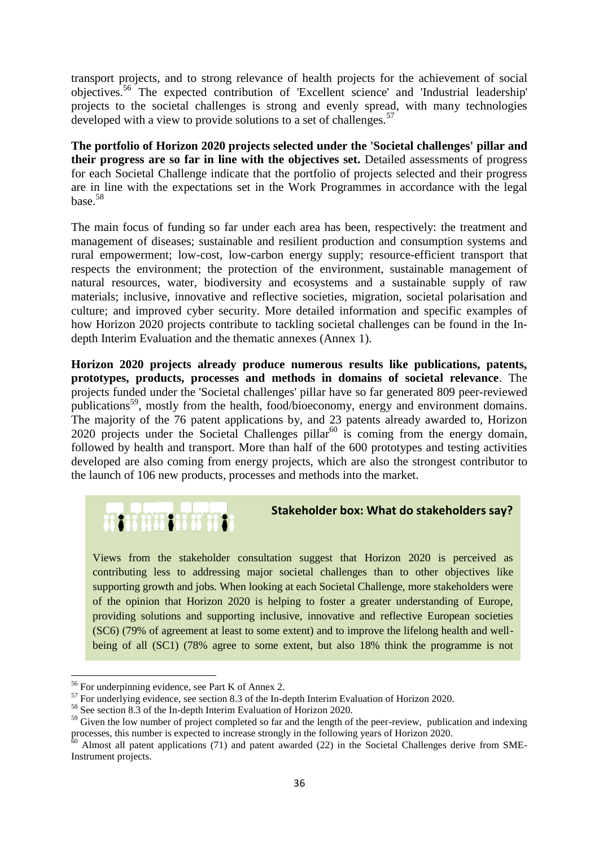transport projects, and to strong relevance of health projects for the achievement of social objectives.<sup>56</sup> The expected contribution of 'Excellent science' and 'Industrial leadership' projects to the societal challenges is strong and evenly spread, with many technologies developed with a view to provide solutions to a set of challenges.<sup>57</sup>

**The portfolio of Horizon 2020 projects selected under the 'Societal challenges' pillar and their progress are so far in line with the objectives set.** Detailed assessments of progress for each Societal Challenge indicate that the portfolio of projects selected and their progress are in line with the expectations set in the Work Programmes in accordance with the legal base.<sup>58</sup>

The main focus of funding so far under each area has been, respectively: the treatment and management of diseases; sustainable and resilient production and consumption systems and rural empowerment; low-cost, low-carbon energy supply; resource-efficient transport that respects the environment; the protection of the environment, sustainable management of natural resources, water, biodiversity and ecosystems and a sustainable supply of raw materials; inclusive, innovative and reflective societies, migration, societal polarisation and culture; and improved cyber security. More detailed information and specific examples of how Horizon 2020 projects contribute to tackling societal challenges can be found in the Indepth Interim Evaluation and the thematic annexes (Annex 1).

**Horizon 2020 projects already produce numerous results like publications, patents, prototypes, products, processes and methods in domains of societal relevance**. The projects funded under the 'Societal challenges' pillar have so far generated 809 peer-reviewed publications<sup>59</sup>, mostly from the health, food/bioeconomy, energy and environment domains. The majority of the 76 patent applications by, and 23 patents already awarded to, Horizon 2020 projects under the Societal Challenges pillar<sup>60</sup> is coming from the energy domain, followed by health and transport. More than half of the 600 prototypes and testing activities developed are also coming from energy projects, which are also the strongest contributor to the launch of 106 new products, processes and methods into the market.

# **MARKHANNEL**

#### **Stakeholder box: What do stakeholders say?**

Views from the stakeholder consultation suggest that Horizon 2020 is perceived as contributing less to addressing major societal challenges than to other objectives like supporting growth and jobs. When looking at each Societal Challenge, more stakeholders were of the opinion that Horizon 2020 is helping to foster a greater understanding of Europe, providing solutions and supporting inclusive, innovative and reflective European societies (SC6) (79% of agreement at least to some extent) and to improve the lifelong health and wellbeing of all (SC1) (78% agree to some extent, but also 18% think the programme is not

**.** 

<sup>56</sup> For underpinning evidence, see Part K of Annex 2.

<sup>&</sup>lt;sup>57</sup> For underlying evidence, see section 8.3 of the In-depth Interim Evaluation of Horizon 2020.

<sup>58</sup> See section 8.3 of the In-depth Interim Evaluation of Horizon 2020.

<sup>&</sup>lt;sup>59</sup> Given the low number of project completed so far and the length of the peer-review, publication and indexing processes, this number is expected to increase strongly in the following years of Horizon 2020.

 $60$  Almost all patent applications (71) and patent awarded (22) in the Societal Challenges derive from SME-Instrument projects.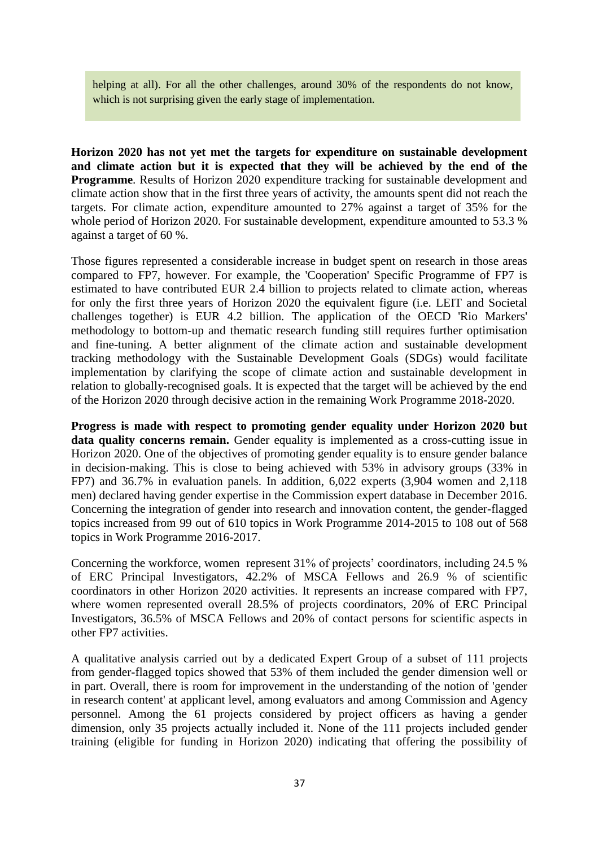helping at all). For all the other challenges, around 30% of the respondents do not know. which is not surprising given the early stage of implementation.

**Horizon 2020 has not yet met the targets for expenditure on sustainable development and climate action but it is expected that they will be achieved by the end of the Programme**. Results of Horizon 2020 expenditure tracking for sustainable development and climate action show that in the first three years of activity, the amounts spent did not reach the targets. For climate action, expenditure amounted to 27% against a target of 35% for the whole period of Horizon 2020. For sustainable development, expenditure amounted to 53.3 % against a target of 60 %.

Those figures represented a considerable increase in budget spent on research in those areas compared to FP7, however. For example, the 'Cooperation' Specific Programme of FP7 is estimated to have contributed EUR 2.4 billion to projects related to climate action, whereas for only the first three years of Horizon 2020 the equivalent figure (i.e. LEIT and Societal challenges together) is EUR 4.2 billion. The application of the OECD 'Rio Markers' methodology to bottom-up and thematic research funding still requires further optimisation and fine-tuning. A better alignment of the climate action and sustainable development tracking methodology with the Sustainable Development Goals (SDGs) would facilitate implementation by clarifying the scope of climate action and sustainable development in relation to globally-recognised goals. It is expected that the target will be achieved by the end of the Horizon 2020 through decisive action in the remaining Work Programme 2018-2020.

**Progress is made with respect to promoting gender equality under Horizon 2020 but**  data quality concerns remain. Gender equality is implemented as a cross-cutting issue in Horizon 2020. One of the objectives of promoting gender equality is to ensure gender balance in decision-making. This is close to being achieved with 53% in advisory groups (33% in FP7) and 36.7% in evaluation panels. In addition, 6,022 experts (3,904 women and 2,118 men) declared having gender expertise in the Commission expert database in December 2016. Concerning the integration of gender into research and innovation content, the gender-flagged topics increased from 99 out of 610 topics in Work Programme 2014-2015 to 108 out of 568 topics in Work Programme 2016-2017.

Concerning the workforce, women represent 31% of projects' coordinators, including 24.5 % of ERC Principal Investigators, 42.2% of MSCA Fellows and 26.9 % of scientific coordinators in other Horizon 2020 activities. It represents an increase compared with FP7, where women represented overall 28.5% of projects coordinators, 20% of ERC Principal Investigators, 36.5% of MSCA Fellows and 20% of contact persons for scientific aspects in other FP7 activities.

A qualitative analysis carried out by a dedicated Expert Group of a subset of 111 projects from gender-flagged topics showed that 53% of them included the gender dimension well or in part. Overall, there is room for improvement in the understanding of the notion of 'gender in research content' at applicant level, among evaluators and among Commission and Agency personnel. Among the 61 projects considered by project officers as having a gender dimension, only 35 projects actually included it. None of the 111 projects included gender training (eligible for funding in Horizon 2020) indicating that offering the possibility of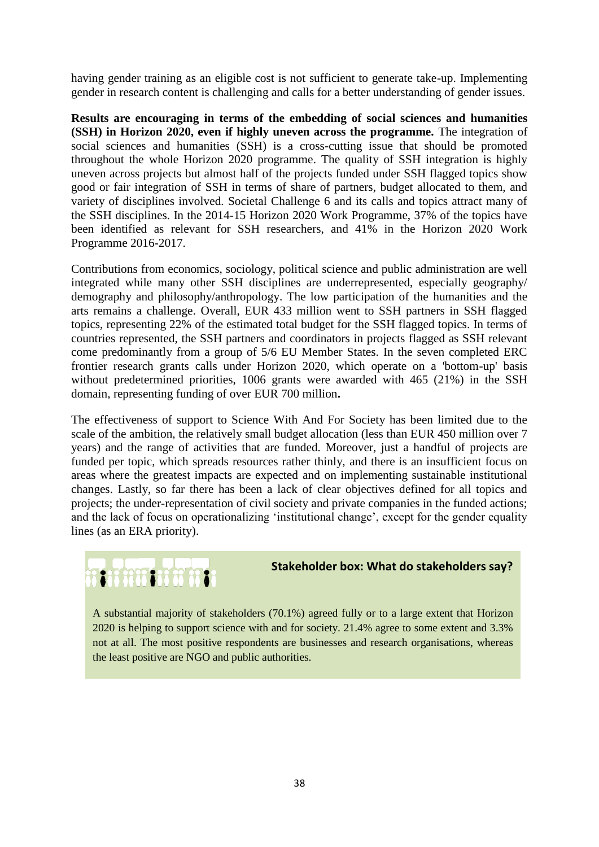having gender training as an eligible cost is not sufficient to generate take-up. Implementing gender in research content is challenging and calls for a better understanding of gender issues.

**Results are encouraging in terms of the embedding of social sciences and humanities (SSH) in Horizon 2020, even if highly uneven across the programme.** The integration of social sciences and humanities (SSH) is a cross-cutting issue that should be promoted throughout the whole Horizon 2020 programme. The quality of SSH integration is highly uneven across projects but almost half of the projects funded under SSH flagged topics show good or fair integration of SSH in terms of share of partners, budget allocated to them, and variety of disciplines involved. Societal Challenge 6 and its calls and topics attract many of the SSH disciplines. In the 2014-15 Horizon 2020 Work Programme, 37% of the topics have been identified as relevant for SSH researchers, and 41% in the Horizon 2020 Work Programme 2016-2017.

Contributions from economics, sociology, political science and public administration are well integrated while many other SSH disciplines are underrepresented, especially geography/ demography and philosophy/anthropology. The low participation of the humanities and the arts remains a challenge. Overall, EUR 433 million went to SSH partners in SSH flagged topics, representing 22% of the estimated total budget for the SSH flagged topics. In terms of countries represented, the SSH partners and coordinators in projects flagged as SSH relevant come predominantly from a group of 5/6 EU Member States. In the seven completed ERC frontier research grants calls under Horizon 2020, which operate on a 'bottom-up' basis without predetermined priorities, 1006 grants were awarded with 465 (21%) in the SSH domain, representing funding of over EUR 700 million**.**

The effectiveness of support to Science With And For Society has been limited due to the scale of the ambition, the relatively small budget allocation (less than EUR 450 million over 7 years) and the range of activities that are funded. Moreover, just a handful of projects are funded per topic, which spreads resources rather thinly, and there is an insufficient focus on areas where the greatest impacts are expected and on implementing sustainable institutional changes. Lastly, so far there has been a lack of clear objectives defined for all topics and projects; the under-representation of civil society and private companies in the funded actions; and the lack of focus on operationalizing 'institutional change', except for the gender equality lines (as an ERA priority).

# ni imani ii h

#### **Stakeholder box: What do stakeholders say?**

A substantial majority of stakeholders (70.1%) agreed fully or to a large extent that Horizon 2020 is helping to support science with and for society. 21.4% agree to some extent and 3.3% not at all. The most positive respondents are businesses and research organisations, whereas the least positive are NGO and public authorities.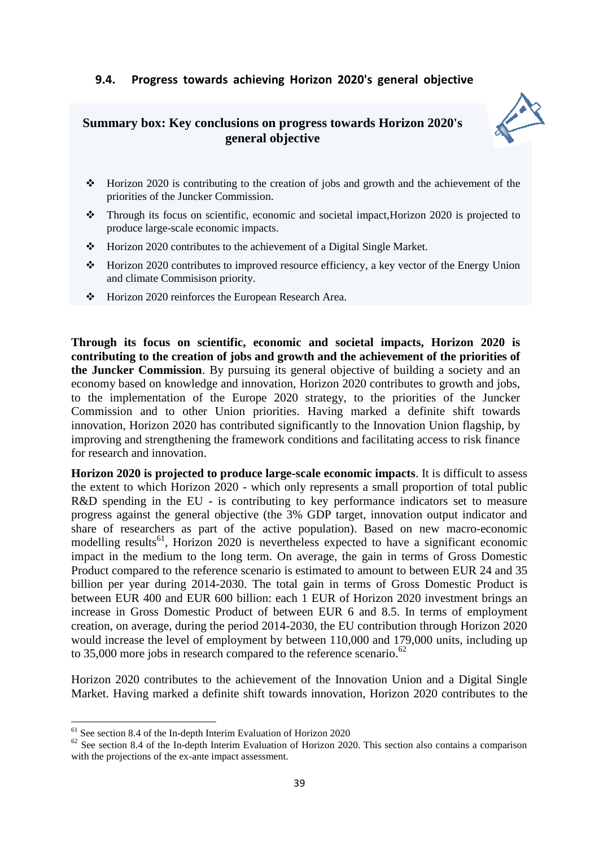## **9.4. Progress towards achieving Horizon 2020's general objective**

## **Summary box: Key conclusions on progress towards Horizon 2020's general objective**



- $\cdot \cdot$  Horizon 2020 is contributing to the creation of jobs and growth and the achievement of the priorities of the Juncker Commission.
- Through its focus on scientific, economic and societal impact,Horizon 2020 is projected to produce large-scale economic impacts.
- Horizon 2020 contributes to the achievement of a Digital Single Market.
- Horizon 2020 contributes to improved resource efficiency, a key vector of the Energy Union and climate Commisison priority.
- \* Horizon 2020 reinforces the European Research Area.

**Through its focus on scientific, economic and societal impacts, Horizon 2020 is contributing to the creation of jobs and growth and the achievement of the priorities of the Juncker Commission**. By pursuing its general objective of building a society and an economy based on knowledge and innovation, Horizon 2020 contributes to growth and jobs, to the implementation of the Europe 2020 strategy, to the priorities of the Juncker Commission and to other Union priorities. Having marked a definite shift towards innovation, Horizon 2020 has contributed significantly to the Innovation Union flagship, by improving and strengthening the framework conditions and facilitating access to risk finance for research and innovation.

**Horizon 2020 is projected to produce large-scale economic impacts**. It is difficult to assess the extent to which Horizon 2020 - which only represents a small proportion of total public R&D spending in the EU - is contributing to key performance indicators set to measure progress against the general objective (the 3% GDP target, innovation output indicator and share of researchers as part of the active population). Based on new macro-economic modelling results<sup>61</sup>, Horizon 2020 is nevertheless expected to have a significant economic impact in the medium to the long term. On average, the gain in terms of Gross Domestic Product compared to the reference scenario is estimated to amount to between EUR 24 and 35 billion per year during 2014-2030. The total gain in terms of Gross Domestic Product is between EUR 400 and EUR 600 billion: each 1 EUR of Horizon 2020 investment brings an increase in Gross Domestic Product of between EUR 6 and 8.5. In terms of employment creation, on average, during the period 2014-2030, the EU contribution through Horizon 2020 would increase the level of employment by between 110,000 and 179,000 units, including up to 35,000 more jobs in research compared to the reference scenario.<sup>62</sup>

Horizon 2020 contributes to the achievement of the Innovation Union and a Digital Single Market. Having marked a definite shift towards innovation, Horizon 2020 contributes to the

 $\overline{a}$ 

 $61$  See section 8.4 of the In-depth Interim Evaluation of Horizon 2020

 $62$  See section 8.4 of the In-depth Interim Evaluation of Horizon 2020. This section also contains a comparison with the projections of the ex-ante impact assessment.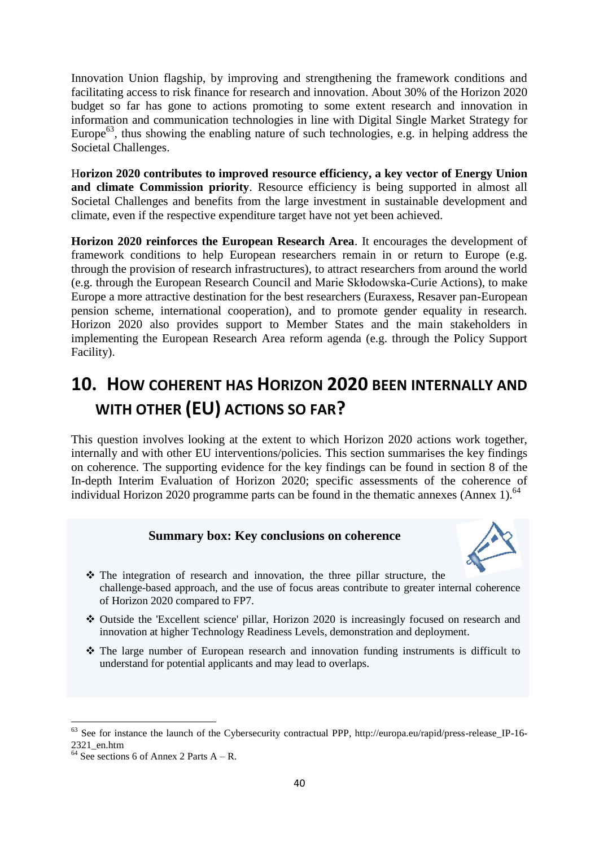Innovation Union flagship, by improving and strengthening the framework conditions and facilitating access to risk finance for research and innovation. About 30% of the Horizon 2020 budget so far has gone to actions promoting to some extent research and innovation in information and communication technologies in line with Digital Single Market Strategy for Europe<sup>63</sup>, thus showing the enabling nature of such technologies, e.g. in helping address the Societal Challenges.

H**orizon 2020 contributes to improved resource efficiency, a key vector of Energy Union and climate Commission priority**. Resource efficiency is being supported in almost all Societal Challenges and benefits from the large investment in sustainable development and climate, even if the respective expenditure target have not yet been achieved.

**Horizon 2020 reinforces the European Research Area**. It encourages the development of framework conditions to help European researchers remain in or return to Europe (e.g. through the provision of research infrastructures), to attract researchers from around the world (e.g. through the European Research Council and Marie Skłodowska-Curie Actions), to make Europe a more attractive destination for the best researchers (Euraxess, Resaver pan-European pension scheme, international cooperation), and to promote gender equality in research. Horizon 2020 also provides support to Member States and the main stakeholders in implementing the European Research Area reform agenda (e.g. through the Policy Support Facility).

# **10. HOW COHERENT HAS HORIZON 2020 BEEN INTERNALLY AND WITH OTHER (EU) ACTIONS SO FAR?**

This question involves looking at the extent to which Horizon 2020 actions work together, internally and with other EU interventions/policies. This section summarises the key findings on coherence. The supporting evidence for the key findings can be found in section 8 of the In-depth Interim Evaluation of Horizon 2020; specific assessments of the coherence of individual Horizon 2020 programme parts can be found in the thematic annexes (Annex 1).<sup>64</sup>

## **Summary box: Key conclusions on coherence**



- The integration of research and innovation, the three pillar structure, the challenge-based approach, and the use of focus areas contribute to greater internal coherence of Horizon 2020 compared to FP7.
- Outside the 'Excellent science' pillar, Horizon 2020 is increasingly focused on research and innovation at higher Technology Readiness Levels, demonstration and deployment.
- $\cdot \cdot$  The large number of European research and innovation funding instruments is difficult to understand for potential applicants and may lead to overlaps.

 $\overline{\phantom{a}}$ 

<sup>63</sup> See for instance the launch of the Cybersecurity contractual PPP, http://europa.eu/rapid/press-release\_IP-16- 2321\_en.htm

 $64$  See sections 6 of Annex 2 Parts A – R.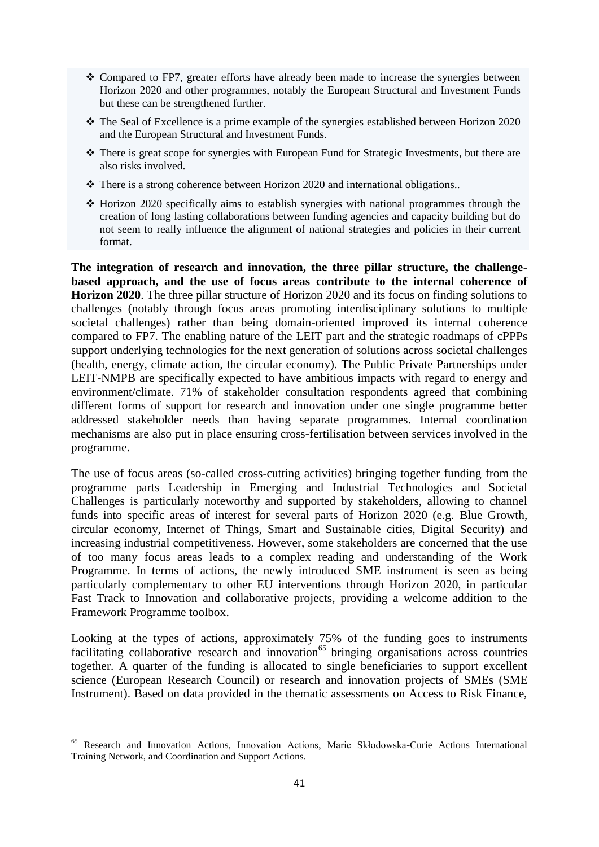- Compared to FP7, greater efforts have already been made to increase the synergies between Horizon 2020 and other programmes, notably the European Structural and Investment Funds but these can be strengthened further.
- The Seal of Excellence is a prime example of the synergies established between Horizon 2020 and the European Structural and Investment Funds.
- There is great scope for synergies with European Fund for Strategic Investments, but there are also risks involved.
- \* There is a strong coherence between Horizon 2020 and international obligations..
- Horizon 2020 specifically aims to establish synergies with national programmes through the creation of long lasting collaborations between funding agencies and capacity building but do not seem to really influence the alignment of national strategies and policies in their current format.

**The integration of research and innovation, the three pillar structure, the challengebased approach, and the use of focus areas contribute to the internal coherence of Horizon 2020**. The three pillar structure of Horizon 2020 and its focus on finding solutions to challenges (notably through focus areas promoting interdisciplinary solutions to multiple societal challenges) rather than being domain-oriented improved its internal coherence compared to FP7. The enabling nature of the LEIT part and the strategic roadmaps of cPPPs support underlying technologies for the next generation of solutions across societal challenges (health, energy, climate action, the circular economy). The Public Private Partnerships under LEIT-NMPB are specifically expected to have ambitious impacts with regard to energy and environment/climate. 71% of stakeholder consultation respondents agreed that combining different forms of support for research and innovation under one single programme better addressed stakeholder needs than having separate programmes. Internal coordination mechanisms are also put in place ensuring cross-fertilisation between services involved in the programme.

The use of focus areas (so-called cross-cutting activities) bringing together funding from the programme parts Leadership in Emerging and Industrial Technologies and Societal Challenges is particularly noteworthy and supported by stakeholders, allowing to channel funds into specific areas of interest for several parts of Horizon 2020 (e.g. Blue Growth, circular economy, Internet of Things, Smart and Sustainable cities, Digital Security) and increasing industrial competitiveness. However, some stakeholders are concerned that the use of too many focus areas leads to a complex reading and understanding of the Work Programme. In terms of actions, the newly introduced SME instrument is seen as being particularly complementary to other EU interventions through Horizon 2020, in particular Fast Track to Innovation and collaborative projects, providing a welcome addition to the Framework Programme toolbox.

Looking at the types of actions, approximately 75% of the funding goes to instruments facilitating collaborative research and innovation<sup>65</sup> bringing organisations across countries together. A quarter of the funding is allocated to single beneficiaries to support excellent science (European Research Council) or research and innovation projects of SMEs (SME Instrument). Based on data provided in the thematic assessments on Access to Risk Finance,

1

<sup>65</sup> Research and Innovation Actions, Innovation Actions, Marie Skłodowska-Curie Actions International Training Network, and Coordination and Support Actions.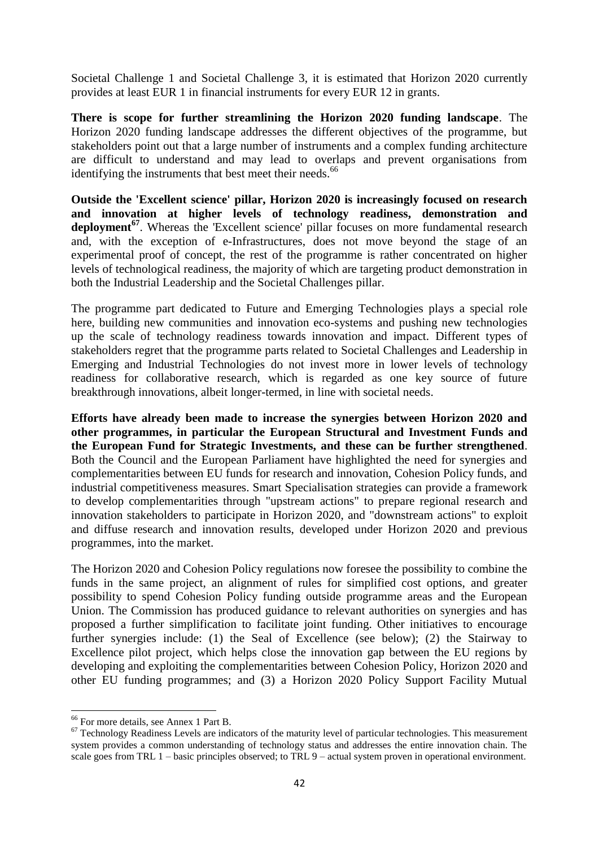Societal Challenge 1 and Societal Challenge 3, it is estimated that Horizon 2020 currently provides at least EUR 1 in financial instruments for every EUR 12 in grants.

**There is scope for further streamlining the Horizon 2020 funding landscape**. The Horizon 2020 funding landscape addresses the different objectives of the programme, but stakeholders point out that a large number of instruments and a complex funding architecture are difficult to understand and may lead to overlaps and prevent organisations from identifying the instruments that best meet their needs.<sup>66</sup>

**Outside the 'Excellent science' pillar, Horizon 2020 is increasingly focused on research and innovation at higher levels of technology readiness, demonstration and deployment<sup>67</sup>**. Whereas the 'Excellent science' pillar focuses on more fundamental research and, with the exception of e-Infrastructures, does not move beyond the stage of an experimental proof of concept, the rest of the programme is rather concentrated on higher levels of technological readiness, the majority of which are targeting product demonstration in both the Industrial Leadership and the Societal Challenges pillar.

The programme part dedicated to Future and Emerging Technologies plays a special role here, building new communities and innovation eco-systems and pushing new technologies up the scale of technology readiness towards innovation and impact. Different types of stakeholders regret that the programme parts related to Societal Challenges and Leadership in Emerging and Industrial Technologies do not invest more in lower levels of technology readiness for collaborative research, which is regarded as one key source of future breakthrough innovations, albeit longer-termed, in line with societal needs.

**Efforts have already been made to increase the synergies between Horizon 2020 and other programmes, in particular the European Structural and Investment Funds and the European Fund for Strategic Investments, and these can be further strengthened**. Both the Council and the European Parliament have highlighted the need for synergies and complementarities between EU funds for research and innovation, Cohesion Policy funds, and industrial competitiveness measures. Smart Specialisation strategies can provide a framework to develop complementarities through "upstream actions" to prepare regional research and innovation stakeholders to participate in Horizon 2020, and "downstream actions" to exploit and diffuse research and innovation results, developed under Horizon 2020 and previous programmes, into the market.

The Horizon 2020 and Cohesion Policy regulations now foresee the possibility to combine the funds in the same project, an alignment of rules for simplified cost options, and greater possibility to spend Cohesion Policy funding outside programme areas and the European Union. The Commission has produced guidance to relevant authorities on synergies and has proposed a further simplification to facilitate joint funding. Other initiatives to encourage further synergies include: (1) the Seal of Excellence (see below); (2) the Stairway to Excellence pilot project, which helps close the innovation gap between the EU regions by developing and exploiting the complementarities between Cohesion Policy, Horizon 2020 and other EU funding programmes; and (3) a Horizon 2020 Policy Support Facility Mutual

**.** 

<sup>66</sup> For more details, see Annex 1 Part B.

 $67$  Technology Readiness Levels are indicators of the maturity level of particular technologies. This measurement system provides a common understanding of technology status and addresses the entire innovation chain. The scale goes from TRL 1 – basic principles observed; to TRL 9 – actual system proven in operational environment.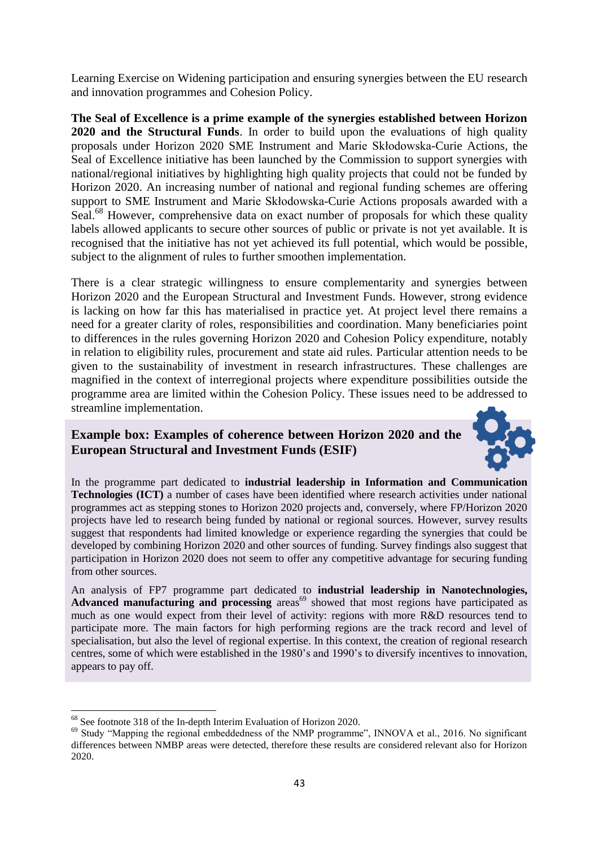Learning Exercise on Widening participation and ensuring synergies between the EU research and innovation programmes and Cohesion Policy.

**The Seal of Excellence is a prime example of the synergies established between Horizon 2020 and the Structural Funds**. In order to build upon the evaluations of high quality proposals under Horizon 2020 SME Instrument and Marie Skłodowska-Curie Actions, the Seal of Excellence initiative has been launched by the Commission to support synergies with national/regional initiatives by highlighting high quality projects that could not be funded by Horizon 2020. An increasing number of national and regional funding schemes are offering support to SME Instrument and Marie Skłodowska-Curie Actions proposals awarded with a Seal.<sup>68</sup> However, comprehensive data on exact number of proposals for which these quality labels allowed applicants to secure other sources of public or private is not yet available. It is recognised that the initiative has not yet achieved its full potential, which would be possible, subject to the alignment of rules to further smoothen implementation.

There is a clear strategic willingness to ensure complementarity and synergies between Horizon 2020 and the European Structural and Investment Funds. However, strong evidence is lacking on how far this has materialised in practice yet. At project level there remains a need for a greater clarity of roles, responsibilities and coordination. Many beneficiaries point to differences in the rules governing Horizon 2020 and Cohesion Policy expenditure, notably in relation to eligibility rules, procurement and state aid rules. Particular attention needs to be given to the sustainability of investment in research infrastructures. These challenges are magnified in the context of interregional projects where expenditure possibilities outside the programme area are limited within the Cohesion Policy. These issues need to be addressed to streamline implementation.

# **Example box: Examples of coherence between Horizon 2020 and the European Structural and Investment Funds (ESIF)**



In the programme part dedicated to **industrial leadership in Information and Communication Technologies (ICT)** a number of cases have been identified where research activities under national programmes act as stepping stones to Horizon 2020 projects and, conversely, where FP/Horizon 2020 projects have led to research being funded by national or regional sources. However, survey results suggest that respondents had limited knowledge or experience regarding the synergies that could be developed by combining Horizon 2020 and other sources of funding. Survey findings also suggest that participation in Horizon 2020 does not seem to offer any competitive advantage for securing funding from other sources.

An analysis of FP7 programme part dedicated to **industrial leadership in Nanotechnologies,**  Advanced manufacturing and processing areas<sup>69</sup> showed that most regions have participated as much as one would expect from their level of activity: regions with more R&D resources tend to participate more. The main factors for high performing regions are the track record and level of specialisation, but also the level of regional expertise. In this context, the creation of regional research centres, some of which were established in the 1980's and 1990's to diversify incentives to innovation, appears to pay off.

**<sup>.</sup>** <sup>68</sup> See footnote 318 of the In-depth Interim Evaluation of Horizon 2020.

<sup>&</sup>lt;sup>69</sup> Study "Mapping the regional embeddedness of the NMP programme", INNOVA et al., 2016. No significant differences between NMBP areas were detected, therefore these results are considered relevant also for Horizon 2020.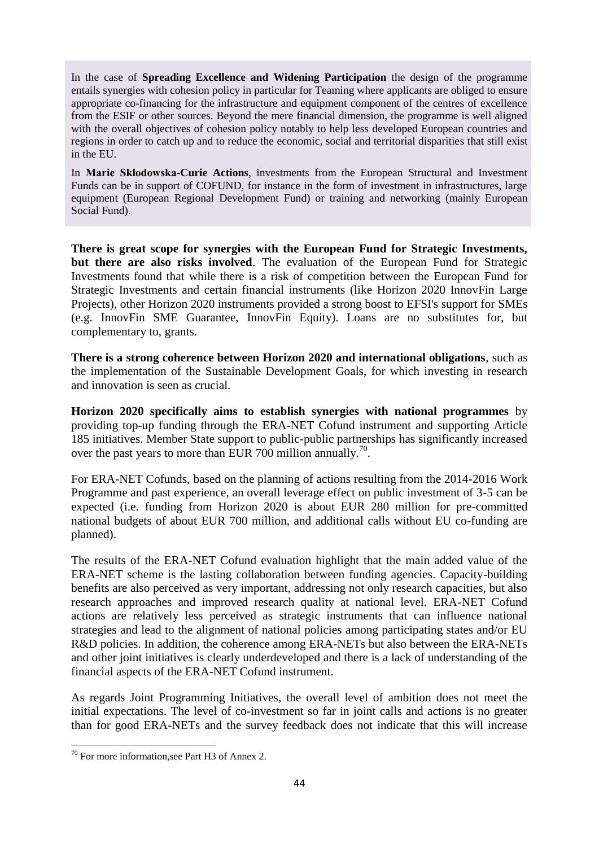In the case of **Spreading Excellence and Widening Participation** the design of the programme entails synergies with cohesion policy in particular for Teaming where applicants are obliged to ensure appropriate co-financing for the infrastructure and equipment component of the centres of excellence from the ESIF or other sources. Beyond the mere financial dimension, the programme is well aligned with the overall objectives of cohesion policy notably to help less developed European countries and regions in order to catch up and to reduce the economic, social and territorial disparities that still exist in the EU.

In **Marie Skłodowska-Curie Actions**, investments from the European Structural and Investment Funds can be in support of COFUND, for instance in the form of investment in infrastructures, large equipment (European Regional Development Fund) or training and networking (mainly European Social Fund).

**There is great scope for synergies with the European Fund for Strategic Investments, but there are also risks involved**. The evaluation of the European Fund for Strategic Investments found that while there is a risk of competition between the European Fund for Strategic Investments and certain financial instruments (like Horizon 2020 InnovFin Large Projects), other Horizon 2020 instruments provided a strong boost to EFSI's support for SMEs (e.g. InnovFin SME Guarantee, InnovFin Equity). Loans are no substitutes for, but complementary to, grants.

**There is a strong coherence between Horizon 2020 and international obligations**, such as the implementation of the Sustainable Development Goals, for which investing in research and innovation is seen as crucial.

**Horizon 2020 specifically aims to establish synergies with national programmes** by providing top-up funding through the ERA-NET Cofund instrument and supporting Article 185 initiatives. Member State support to public-public partnerships has significantly increased over the past years to more than EUR 700 million annually.<sup>70</sup>.

For ERA-NET Cofunds, based on the planning of actions resulting from the 2014-2016 Work Programme and past experience, an overall leverage effect on public investment of 3-5 can be expected (i.e. funding from Horizon 2020 is about EUR 280 million for pre-committed national budgets of about EUR 700 million, and additional calls without EU co-funding are planned).

The results of the ERA-NET Cofund evaluation highlight that the main added value of the ERA-NET scheme is the lasting collaboration between funding agencies. Capacity-building benefits are also perceived as very important, addressing not only research capacities, but also research approaches and improved research quality at national level. ERA-NET Cofund actions are relatively less perceived as strategic instruments that can influence national strategies and lead to the alignment of national policies among participating states and/or EU R&D policies. In addition, the coherence among ERA-NETs but also between the ERA-NETs and other joint initiatives is clearly underdeveloped and there is a lack of understanding of the financial aspects of the ERA-NET Cofund instrument.

As regards Joint Programming Initiatives, the overall level of ambition does not meet the initial expectations. The level of co-investment so far in joint calls and actions is no greater than for good ERA-NETs and the survey feedback does not indicate that this will increase

**<sup>.</sup>** <sup>70</sup> For more information, see Part H3 of Annex 2.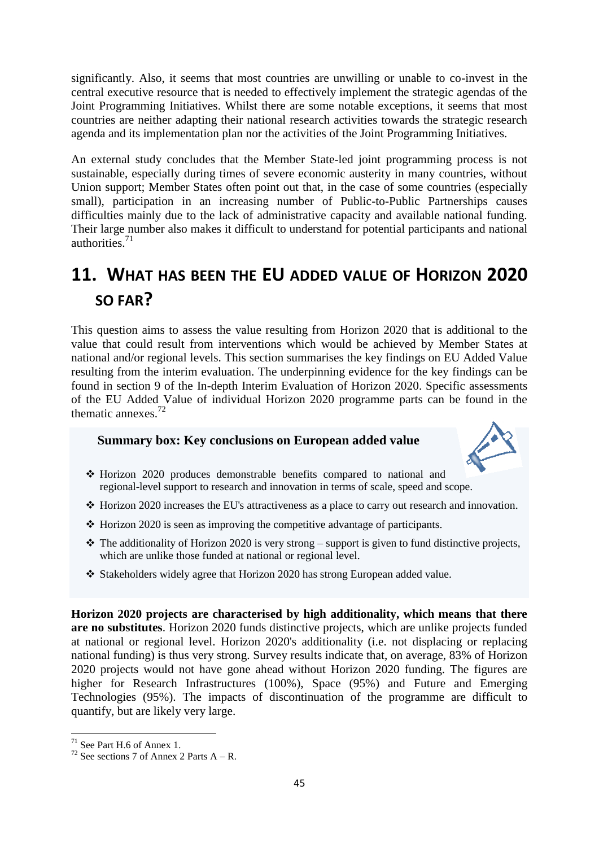significantly. Also, it seems that most countries are unwilling or unable to co-invest in the central executive resource that is needed to effectively implement the strategic agendas of the Joint Programming Initiatives. Whilst there are some notable exceptions, it seems that most countries are neither adapting their national research activities towards the strategic research agenda and its implementation plan nor the activities of the Joint Programming Initiatives.

An external study concludes that the Member State-led joint programming process is not sustainable, especially during times of severe economic austerity in many countries, without Union support; Member States often point out that, in the case of some countries (especially small), participation in an increasing number of Public-to-Public Partnerships causes difficulties mainly due to the lack of administrative capacity and available national funding. Their large number also makes it difficult to understand for potential participants and national authorities $^{71}$ 

# **11. WHAT HAS BEEN THE EU ADDED VALUE OF HORIZON 2020 SO FAR?**

This question aims to assess the value resulting from Horizon 2020 that is additional to the value that could result from interventions which would be achieved by Member States at national and/or regional levels. This section summarises the key findings on EU Added Value resulting from the interim evaluation. The underpinning evidence for the key findings can be found in section 9 of the In-depth Interim Evaluation of Horizon 2020. Specific assessments of the EU Added Value of individual Horizon 2020 programme parts can be found in the thematic annexes. $72$ 

## **Summary box: Key conclusions on European added value**



- Horizon 2020 produces demonstrable benefits compared to national and regional-level support to research and innovation in terms of scale, speed and scope.
- $\cdot$  Horizon 2020 increases the EU's attractiveness as a place to carry out research and innovation.
- $\triangle$  Horizon 2020 is seen as improving the competitive advantage of participants.
- $\cdot \cdot$  The additionality of Horizon 2020 is very strong support is given to fund distinctive projects, which are unlike those funded at national or regional level.
- $\div$  Stakeholders widely agree that Horizon 2020 has strong European added value.

**Horizon 2020 projects are characterised by high additionality, which means that there are no substitutes**. Horizon 2020 funds distinctive projects, which are unlike projects funded at national or regional level. Horizon 2020's additionality (i.e. not displacing or replacing national funding) is thus very strong. Survey results indicate that, on average, 83% of Horizon 2020 projects would not have gone ahead without Horizon 2020 funding. The figures are higher for Research Infrastructures (100%), Space (95%) and Future and Emerging Technologies (95%). The impacts of discontinuation of the programme are difficult to quantify, but are likely very large.

<sup>1</sup>  $71$  See Part H.6 of Annex 1.

<sup>&</sup>lt;sup>72</sup> See sections 7 of Annex 2 Parts  $A - R$ .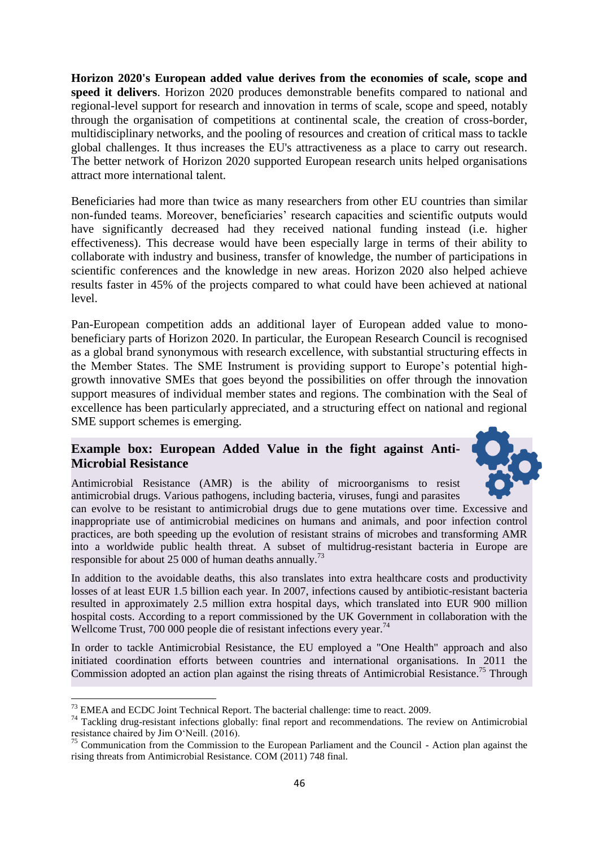**Horizon 2020's European added value derives from the economies of scale, scope and speed it delivers**. Horizon 2020 produces demonstrable benefits compared to national and regional-level support for research and innovation in terms of scale, scope and speed, notably through the organisation of competitions at continental scale, the creation of cross-border, multidisciplinary networks, and the pooling of resources and creation of critical mass to tackle global challenges. It thus increases the EU's attractiveness as a place to carry out research. The better network of Horizon 2020 supported European research units helped organisations attract more international talent.

Beneficiaries had more than twice as many researchers from other EU countries than similar non-funded teams. Moreover, beneficiaries' research capacities and scientific outputs would have significantly decreased had they received national funding instead (i.e. higher effectiveness). This decrease would have been especially large in terms of their ability to collaborate with industry and business, transfer of knowledge, the number of participations in scientific conferences and the knowledge in new areas. Horizon 2020 also helped achieve results faster in 45% of the projects compared to what could have been achieved at national level.

Pan-European competition adds an additional layer of European added value to monobeneficiary parts of Horizon 2020. In particular, the European Research Council is recognised as a global brand synonymous with research excellence, with substantial structuring effects in the Member States. The SME Instrument is providing support to Europe's potential highgrowth innovative SMEs that goes beyond the possibilities on offer through the innovation support measures of individual member states and regions. The combination with the Seal of excellence has been particularly appreciated, and a structuring effect on national and regional SME support schemes is emerging.

# **Example box: European Added Value in the fight against Anti-Microbial Resistance**



Antimicrobial Resistance (AMR) is the ability of microorganisms to resist antimicrobial drugs. Various pathogens, including bacteria, viruses, fungi and parasites

can evolve to be resistant to antimicrobial drugs due to gene mutations over time. Excessive and inappropriate use of antimicrobial medicines on humans and animals, and poor infection control practices, are both speeding up the evolution of resistant strains of microbes and transforming AMR into a worldwide public health threat. A subset of multidrug-resistant bacteria in Europe are responsible for about 25 000 of human deaths annually.<sup>73</sup>

In addition to the avoidable deaths, this also translates into extra healthcare costs and productivity losses of at least EUR 1.5 billion each year. In 2007, infections caused by antibiotic-resistant bacteria resulted in approximately 2.5 million extra hospital days, which translated into EUR 900 million hospital costs. According to a report commissioned by the UK Government in collaboration with the Wellcome Trust, 700 000 people die of resistant infections every year.<sup>74</sup>

In order to tackle Antimicrobial Resistance, the EU employed a "One Health" approach and also initiated coordination efforts between countries and international organisations. In 2011 the Commission adopted an action plan against the rising threats of Antimicrobial Resistance.<sup>75</sup> Through

**.** 

 $73$  EMEA and ECDC Joint Technical Report. The bacterial challenge: time to react. 2009.

<sup>&</sup>lt;sup>74</sup> Tackling drug-resistant infections globally: final report and recommendations. The review on Antimicrobial resistance chaired by Jim O'Neill. (2016).

 $75$  Communication from the Commission to the European Parliament and the Council - Action plan against the rising threats from Antimicrobial Resistance. COM (2011) 748 final.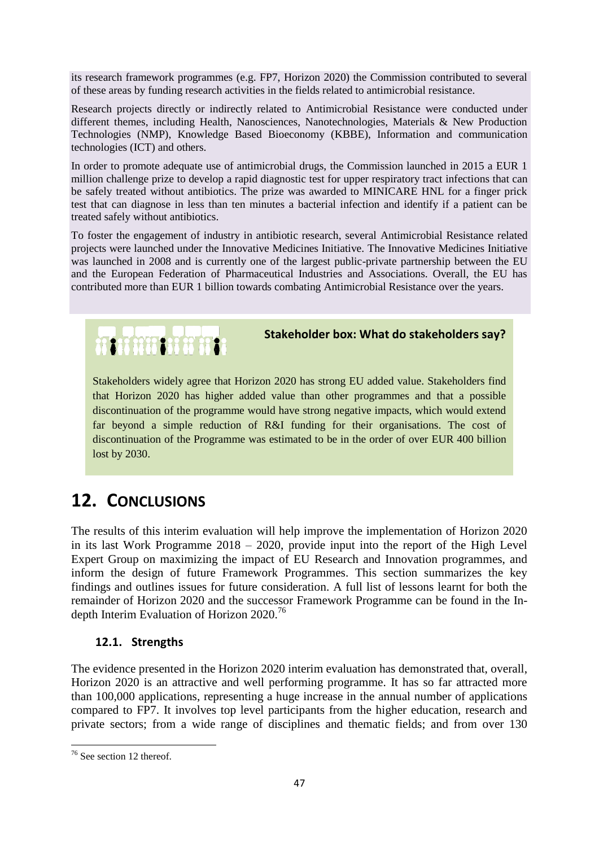its research framework programmes (e.g. FP7, Horizon 2020) the Commission contributed to several of these areas by funding research activities in the fields related to antimicrobial resistance.

Research projects directly or indirectly related to Antimicrobial Resistance were conducted under different themes, including Health, Nanosciences, Nanotechnologies, Materials & New Production Technologies (NMP), Knowledge Based Bioeconomy (KBBE), Information and communication technologies (ICT) and others.

In order to promote adequate use of antimicrobial drugs, the Commission launched in 2015 a EUR 1 million challenge prize to develop a rapid diagnostic test for upper respiratory tract infections that can be safely treated without antibiotics. The prize was awarded to MINICARE HNL for a finger prick test that can diagnose in less than ten minutes a bacterial infection and identify if a patient can be treated safely without antibiotics.

To foster the engagement of industry in antibiotic research, several Antimicrobial Resistance related projects were launched under the Innovative Medicines Initiative. The Innovative Medicines Initiative was launched in 2008 and is currently one of the largest public-private partnership between the EU and the European Federation of Pharmaceutical Industries and Associations. Overall, the EU has contributed more than EUR 1 billion towards combating Antimicrobial Resistance over the years.

## **Stakeholder box: What do stakeholders say?**

Stakeholders widely agree that Horizon 2020 has strong EU added value. Stakeholders find that Horizon 2020 has higher added value than other programmes and that a possible discontinuation of the programme would have strong negative impacts, which would extend far beyond a simple reduction of R&I funding for their organisations. The cost of discontinuation of the Programme was estimated to be in the order of over EUR 400 billion lost by 2030.

# **12. CONCLUSIONS**

**REFEREE OF PERSONS** 

The results of this interim evaluation will help improve the implementation of Horizon 2020 in its last Work Programme 2018 – 2020, provide input into the report of the High Level Expert Group on maximizing the impact of EU Research and Innovation programmes, and inform the design of future Framework Programmes. This section summarizes the key findings and outlines issues for future consideration. A full list of lessons learnt for both the remainder of Horizon 2020 and the successor Framework Programme can be found in the Indepth Interim Evaluation of Horizon 2020.<sup>76</sup>

## **12.1. Strengths**

The evidence presented in the Horizon 2020 interim evaluation has demonstrated that, overall, Horizon 2020 is an attractive and well performing programme. It has so far attracted more than 100,000 applications, representing a huge increase in the annual number of applications compared to FP7. It involves top level participants from the higher education, research and private sectors; from a wide range of disciplines and thematic fields; and from over 130

**<sup>.</sup>** <sup>76</sup> See section 12 thereof.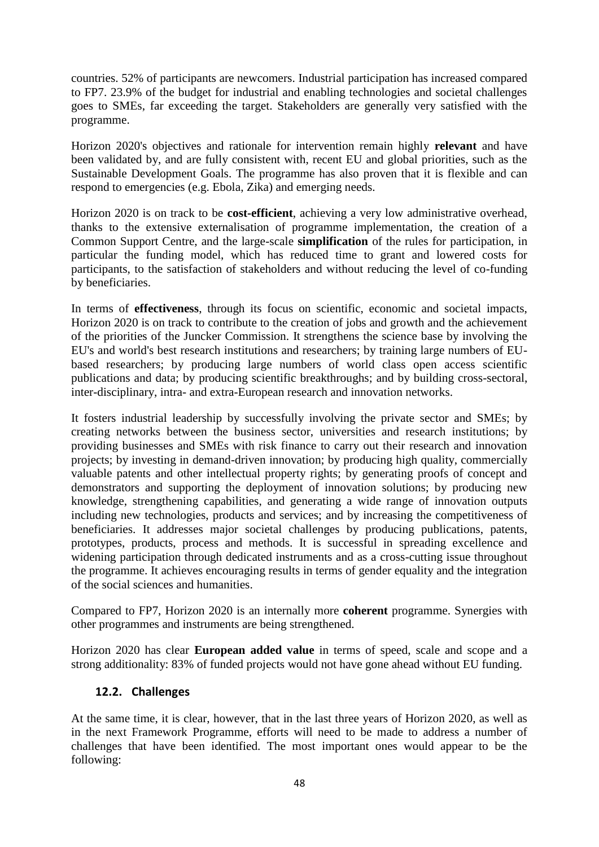countries. 52% of participants are newcomers. Industrial participation has increased compared to FP7. 23.9% of the budget for industrial and enabling technologies and societal challenges goes to SMEs, far exceeding the target. Stakeholders are generally very satisfied with the programme.

Horizon 2020's objectives and rationale for intervention remain highly **relevant** and have been validated by, and are fully consistent with, recent EU and global priorities, such as the Sustainable Development Goals. The programme has also proven that it is flexible and can respond to emergencies (e.g. Ebola, Zika) and emerging needs.

Horizon 2020 is on track to be **cost-efficient**, achieving a very low administrative overhead, thanks to the extensive externalisation of programme implementation, the creation of a Common Support Centre, and the large-scale **simplification** of the rules for participation, in particular the funding model, which has reduced time to grant and lowered costs for participants, to the satisfaction of stakeholders and without reducing the level of co-funding by beneficiaries.

In terms of **effectiveness**, through its focus on scientific, economic and societal impacts, Horizon 2020 is on track to contribute to the creation of jobs and growth and the achievement of the priorities of the Juncker Commission. It strengthens the science base by involving the EU's and world's best research institutions and researchers; by training large numbers of EUbased researchers; by producing large numbers of world class open access scientific publications and data; by producing scientific breakthroughs; and by building cross-sectoral, inter-disciplinary, intra- and extra-European research and innovation networks.

It fosters industrial leadership by successfully involving the private sector and SMEs; by creating networks between the business sector, universities and research institutions; by providing businesses and SMEs with risk finance to carry out their research and innovation projects; by investing in demand-driven innovation; by producing high quality, commercially valuable patents and other intellectual property rights; by generating proofs of concept and demonstrators and supporting the deployment of innovation solutions; by producing new knowledge, strengthening capabilities, and generating a wide range of innovation outputs including new technologies, products and services; and by increasing the competitiveness of beneficiaries. It addresses major societal challenges by producing publications, patents, prototypes, products, process and methods. It is successful in spreading excellence and widening participation through dedicated instruments and as a cross-cutting issue throughout the programme. It achieves encouraging results in terms of gender equality and the integration of the social sciences and humanities.

Compared to FP7, Horizon 2020 is an internally more **coherent** programme. Synergies with other programmes and instruments are being strengthened.

Horizon 2020 has clear **European added value** in terms of speed, scale and scope and a strong additionality: 83% of funded projects would not have gone ahead without EU funding.

## **12.2. Challenges**

At the same time, it is clear, however, that in the last three years of Horizon 2020, as well as in the next Framework Programme, efforts will need to be made to address a number of challenges that have been identified. The most important ones would appear to be the following: